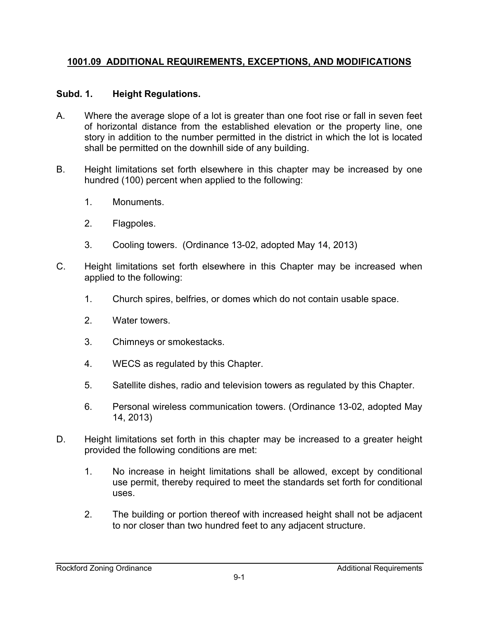### **1001.09 ADDITIONAL REQUIREMENTS, EXCEPTIONS, AND MODIFICATIONS**

### **Subd. 1. Height Regulations.**

- A. Where the average slope of a lot is greater than one foot rise or fall in seven feet of horizontal distance from the established elevation or the property line, one story in addition to the number permitted in the district in which the lot is located shall be permitted on the downhill side of any building.
- B. Height limitations set forth elsewhere in this chapter may be increased by one hundred (100) percent when applied to the following:
	- 1. Monuments.
	- 2. Flagpoles.
	- 3. Cooling towers. (Ordinance 13-02, adopted May 14, 2013)
- C. Height limitations set forth elsewhere in this Chapter may be increased when applied to the following:
	- 1. Church spires, belfries, or domes which do not contain usable space.
	- 2. Water towers.
	- 3. Chimneys or smokestacks.
	- 4. WECS as regulated by this Chapter.
	- 5. Satellite dishes, radio and television towers as regulated by this Chapter.
	- 6. Personal wireless communication towers. (Ordinance 13-02, adopted May 14, 2013)
- D. Height limitations set forth in this chapter may be increased to a greater height provided the following conditions are met:
	- 1. No increase in height limitations shall be allowed, except by conditional use permit, thereby required to meet the standards set forth for conditional uses.
	- 2. The building or portion thereof with increased height shall not be adjacent to nor closer than two hundred feet to any adjacent structure.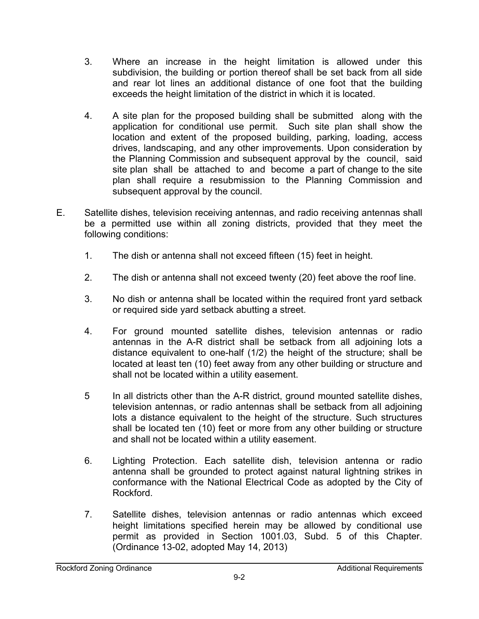- 3. Where an increase in the height limitation is allowed under this subdivision, the building or portion thereof shall be set back from all side and rear lot lines an additional distance of one foot that the building exceeds the height limitation of the district in which it is located.
- 4. A site plan for the proposed building shall be submitted along with the application for conditional use permit. Such site plan shall show the location and extent of the proposed building, parking, loading, access drives, landscaping, and any other improvements. Upon consideration by the Planning Commission and subsequent approval by the council, said site plan shall be attached to and become a part of change to the site plan shall require a resubmission to the Planning Commission and subsequent approval by the council.
- E. Satellite dishes, television receiving antennas, and radio receiving antennas shall be a permitted use within all zoning districts, provided that they meet the following conditions:
	- 1. The dish or antenna shall not exceed fifteen (15) feet in height.
	- 2. The dish or antenna shall not exceed twenty (20) feet above the roof line.
	- 3. No dish or antenna shall be located within the required front yard setback or required side yard setback abutting a street.
	- 4. For ground mounted satellite dishes, television antennas or radio antennas in the A-R district shall be setback from all adjoining lots a distance equivalent to one-half (1/2) the height of the structure; shall be located at least ten (10) feet away from any other building or structure and shall not be located within a utility easement.
	- 5 In all districts other than the A-R district, ground mounted satellite dishes, television antennas, or radio antennas shall be setback from all adjoining lots a distance equivalent to the height of the structure. Such structures shall be located ten (10) feet or more from any other building or structure and shall not be located within a utility easement.
	- 6. Lighting Protection. Each satellite dish, television antenna or radio antenna shall be grounded to protect against natural lightning strikes in conformance with the National Electrical Code as adopted by the City of Rockford.
	- 7. Satellite dishes, television antennas or radio antennas which exceed height limitations specified herein may be allowed by conditional use permit as provided in Section 1001.03, Subd. 5 of this Chapter. (Ordinance 13-02, adopted May 14, 2013)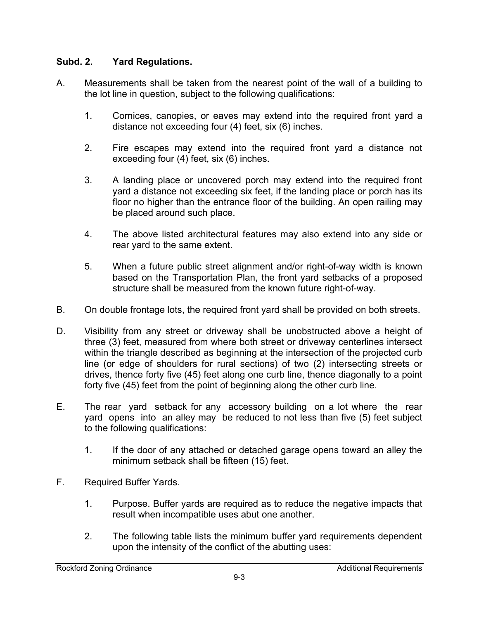#### **Subd. 2. Yard Regulations.**

- A. Measurements shall be taken from the nearest point of the wall of a building to the lot line in question, subject to the following qualifications:
	- 1. Cornices, canopies, or eaves may extend into the required front yard a distance not exceeding four (4) feet, six (6) inches.
	- 2. Fire escapes may extend into the required front yard a distance not exceeding four (4) feet, six (6) inches.
	- 3. A landing place or uncovered porch may extend into the required front yard a distance not exceeding six feet, if the landing place or porch has its floor no higher than the entrance floor of the building. An open railing may be placed around such place.
	- 4. The above listed architectural features may also extend into any side or rear yard to the same extent.
	- 5. When a future public street alignment and/or right-of-way width is known based on the Transportation Plan, the front yard setbacks of a proposed structure shall be measured from the known future right-of-way.
- B. On double frontage lots, the required front yard shall be provided on both streets.
- D. Visibility from any street or driveway shall be unobstructed above a height of three (3) feet, measured from where both street or driveway centerlines intersect within the triangle described as beginning at the intersection of the projected curb line (or edge of shoulders for rural sections) of two (2) intersecting streets or drives, thence forty five (45) feet along one curb line, thence diagonally to a point forty five (45) feet from the point of beginning along the other curb line.
- E. The rear yard setback for any accessory building on a lot where the rear yard opens into an alley may be reduced to not less than five (5) feet subject to the following qualifications:
	- 1. If the door of any attached or detached garage opens toward an alley the minimum setback shall be fifteen (15) feet.
- F. Required Buffer Yards.
	- 1. Purpose. Buffer yards are required as to reduce the negative impacts that result when incompatible uses abut one another.
	- 2. The following table lists the minimum buffer yard requirements dependent upon the intensity of the conflict of the abutting uses: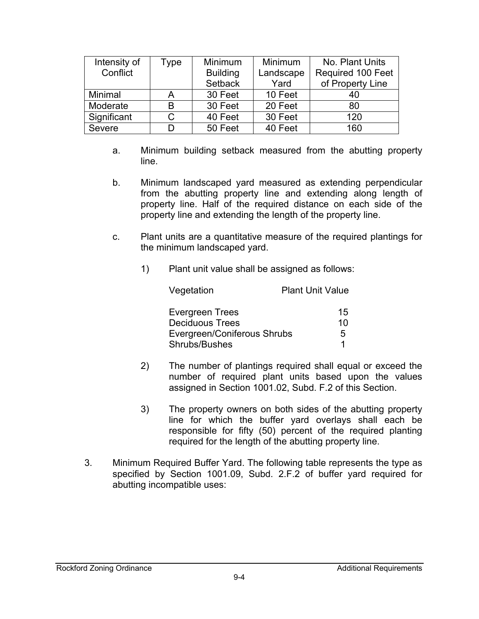| Intensity of | Type | Minimum         | <b>Minimum</b> | No. Plant Units          |
|--------------|------|-----------------|----------------|--------------------------|
| Conflict     |      | <b>Building</b> | Landscape      | <b>Required 100 Feet</b> |
|              |      | Setback         | Yard           | of Property Line         |
| Minimal      |      | 30 Feet         | 10 Feet        | 40                       |
| Moderate     | B    | 30 Feet         | 20 Feet        | 80                       |
| Significant  |      | 40 Feet         | 30 Feet        | 120                      |
| Severe       |      | 50 Feet         | 40 Feet        | 160                      |

- a. Minimum building setback measured from the abutting property line.
- b. Minimum landscaped yard measured as extending perpendicular from the abutting property line and extending along length of property line. Half of the required distance on each side of the property line and extending the length of the property line.
- c. Plant units are a quantitative measure of the required plantings for the minimum landscaped yard.
	- 1) Plant unit value shall be assigned as follows:

| Vegetation                  | <b>Plant Unit Value</b> |
|-----------------------------|-------------------------|
| <b>Evergreen Trees</b>      | 15                      |
| <b>Deciduous Trees</b>      | 10                      |
| Evergreen/Coniferous Shrubs | 5                       |
| Shrubs/Bushes               | 1                       |

- 2) The number of plantings required shall equal or exceed the number of required plant units based upon the values assigned in Section 1001.02, Subd. F.2 of this Section.
- 3) The property owners on both sides of the abutting property line for which the buffer yard overlays shall each be responsible for fifty (50) percent of the required planting required for the length of the abutting property line.
- 3. Minimum Required Buffer Yard. The following table represents the type as specified by Section 1001.09, Subd. 2.F.2 of buffer yard required for abutting incompatible uses: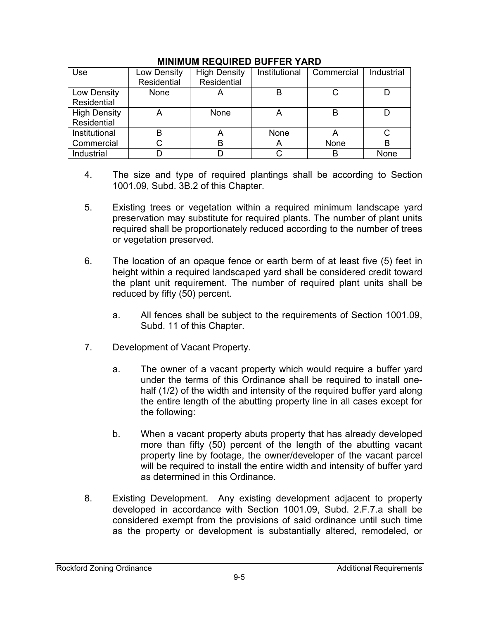| Use                 | Low Density | <b>High Density</b> | Institutional | Commercial | Industrial |
|---------------------|-------------|---------------------|---------------|------------|------------|
|                     | Residential | Residential         |               |            |            |
| Low Density         | None        | $\overline{a}$      | B             |            |            |
| Residential         |             |                     |               |            |            |
| <b>High Density</b> | A           | <b>None</b>         | A             | в          |            |
| Residential         |             |                     |               |            |            |
| Institutional       | B           |                     | None          | A          |            |
| Commercial          |             |                     | A             | None       |            |
| Industrial          |             |                     |               |            | None       |

#### **MINIMUM REQUIRED BUFFER YARD**

- 4. The size and type of required plantings shall be according to Section 1001.09, Subd. 3B.2 of this Chapter.
- 5. Existing trees or vegetation within a required minimum landscape yard preservation may substitute for required plants. The number of plant units required shall be proportionately reduced according to the number of trees or vegetation preserved.
- 6. The location of an opaque fence or earth berm of at least five (5) feet in height within a required landscaped yard shall be considered credit toward the plant unit requirement. The number of required plant units shall be reduced by fifty (50) percent.
	- a. All fences shall be subject to the requirements of Section 1001.09, Subd. 11 of this Chapter.
- 7. Development of Vacant Property.
	- a. The owner of a vacant property which would require a buffer yard under the terms of this Ordinance shall be required to install onehalf (1/2) of the width and intensity of the required buffer yard along the entire length of the abutting property line in all cases except for the following:
	- b. When a vacant property abuts property that has already developed more than fifty (50) percent of the length of the abutting vacant property line by footage, the owner/developer of the vacant parcel will be required to install the entire width and intensity of buffer vard as determined in this Ordinance.
- 8. Existing Development. Any existing development adjacent to property developed in accordance with Section 1001.09, Subd. 2.F.7.a shall be considered exempt from the provisions of said ordinance until such time as the property or development is substantially altered, remodeled, or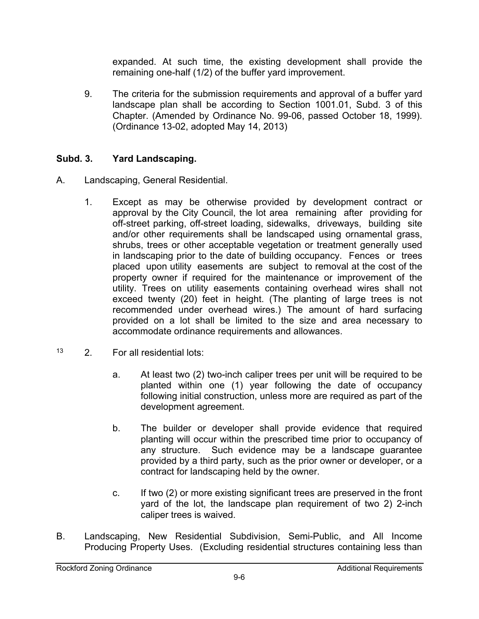expanded. At such time, the existing development shall provide the remaining one-half (1/2) of the buffer yard improvement.

 9. The criteria for the submission requirements and approval of a buffer yard landscape plan shall be according to Section 1001.01, Subd. 3 of this Chapter. (Amended by Ordinance No. 99-06, passed October 18, 1999). (Ordinance 13-02, adopted May 14, 2013)

### **Subd. 3. Yard Landscaping.**

- A. Landscaping, General Residential.
	- 1. Except as may be otherwise provided by development contract or approval by the City Council, the lot area remaining after providing for off-street parking, off-street loading, sidewalks, driveways, building site and/or other requirements shall be landscaped using ornamental grass, shrubs, trees or other acceptable vegetation or treatment generally used in landscaping prior to the date of building occupancy. Fences or trees placed upon utility easements are subject to removal at the cost of the property owner if required for the maintenance or improvement of the utility. Trees on utility easements containing overhead wires shall not exceed twenty (20) feet in height. (The planting of large trees is not recommended under overhead wires.) The amount of hard surfacing provided on a lot shall be limited to the size and area necessary to accommodate ordinance requirements and allowances.
- 13 2. For all residential lots:
	- a. At least two (2) two-inch caliper trees per unit will be required to be planted within one (1) year following the date of occupancy following initial construction, unless more are required as part of the development agreement.
	- b. The builder or developer shall provide evidence that required planting will occur within the prescribed time prior to occupancy of any structure. Such evidence may be a landscape guarantee provided by a third party, such as the prior owner or developer, or a contract for landscaping held by the owner.
	- c. If two (2) or more existing significant trees are preserved in the front yard of the lot, the landscape plan requirement of two 2) 2-inch caliper trees is waived.
- B. Landscaping, New Residential Subdivision, Semi-Public, and All Income Producing Property Uses. (Excluding residential structures containing less than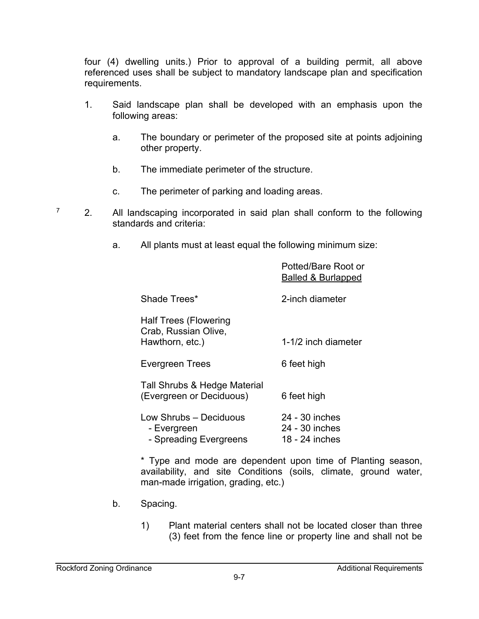four (4) dwelling units.) Prior to approval of a building permit, all above referenced uses shall be subject to mandatory landscape plan and specification requirements.

- 1. Said landscape plan shall be developed with an emphasis upon the following areas:
	- a. The boundary or perimeter of the proposed site at points adjoining other property.
	- b. The immediate perimeter of the structure.
	- c. The perimeter of parking and loading areas.
- $7$  2. All landscaping incorporated in said plan shall conform to the following standards and criteria:
	- a. All plants must at least equal the following minimum size:

|                                                                         | Potted/Bare Root or<br><b>Balled &amp; Burlapped</b> |
|-------------------------------------------------------------------------|------------------------------------------------------|
| Shade Trees*                                                            | 2-inch diameter                                      |
| <b>Half Trees (Flowering</b><br>Crab, Russian Olive,<br>Hawthorn, etc.) | 1-1/2 inch diameter                                  |
| <b>Evergreen Trees</b>                                                  | 6 feet high                                          |
| Tall Shrubs & Hedge Material<br>(Evergreen or Deciduous)                | 6 feet high                                          |
| Low Shrubs - Deciduous<br>- Evergreen<br>- Spreading Evergreens         | 24 - 30 inches<br>24 - 30 inches<br>18 - 24 inches   |

\* Type and mode are dependent upon time of Planting season, availability, and site Conditions (soils, climate, ground water, man-made irrigation, grading, etc.)

- b. Spacing.
	- 1) Plant material centers shall not be located closer than three (3) feet from the fence line or property line and shall not be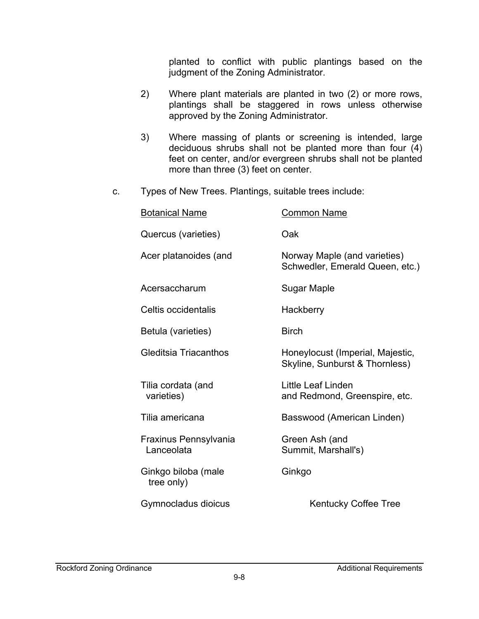planted to conflict with public plantings based on the judgment of the Zoning Administrator.

- 2) Where plant materials are planted in two (2) or more rows, plantings shall be staggered in rows unless otherwise approved by the Zoning Administrator.
- 3) Where massing of plants or screening is intended, large deciduous shrubs shall not be planted more than four (4) feet on center, and/or evergreen shrubs shall not be planted more than three (3) feet on center.
- c. Types of New Trees. Plantings, suitable trees include:

| <b>Botanical Name</b>               | <b>Common Name</b>                                                 |
|-------------------------------------|--------------------------------------------------------------------|
| Quercus (varieties)                 | Oak                                                                |
| Acer platanoides (and               | Norway Maple (and varieties)<br>Schwedler, Emerald Queen, etc.)    |
| Acersaccharum                       | <b>Sugar Maple</b>                                                 |
| Celtis occidentalis                 | Hackberry                                                          |
| Betula (varieties)                  | <b>Birch</b>                                                       |
| Gleditsia Triacanthos               | Honeylocust (Imperial, Majestic,<br>Skyline, Sunburst & Thornless) |
| Tilia cordata (and<br>varieties)    | Little Leaf Linden<br>and Redmond, Greenspire, etc.                |
| Tilia americana                     | Basswood (American Linden)                                         |
| Fraxinus Pennsylvania<br>Lanceolata | Green Ash (and<br>Summit, Marshall's)                              |
| Ginkgo biloba (male<br>tree only)   | Ginkgo                                                             |
| Gymnocladus dioicus                 | <b>Kentucky Coffee Tree</b>                                        |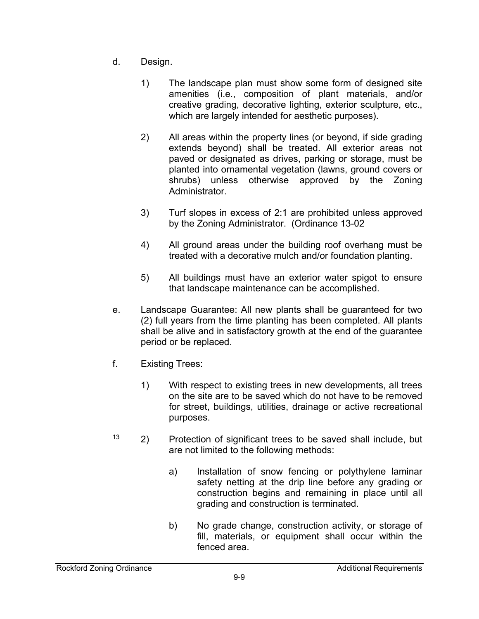- d. Design.
	- 1) The landscape plan must show some form of designed site amenities (i.e., composition of plant materials, and/or creative grading, decorative lighting, exterior sculpture, etc., which are largely intended for aesthetic purposes).
	- 2) All areas within the property lines (or beyond, if side grading extends beyond) shall be treated. All exterior areas not paved or designated as drives, parking or storage, must be planted into ornamental vegetation (lawns, ground covers or shrubs) unless otherwise approved by the Zoning Administrator.
	- 3) Turf slopes in excess of 2:1 are prohibited unless approved by the Zoning Administrator. (Ordinance 13-02
	- 4) All ground areas under the building roof overhang must be treated with a decorative mulch and/or foundation planting.
	- 5) All buildings must have an exterior water spigot to ensure that landscape maintenance can be accomplished.
- e. Landscape Guarantee: All new plants shall be guaranteed for two (2) full years from the time planting has been completed. All plants shall be alive and in satisfactory growth at the end of the guarantee period or be replaced.
- f. Existing Trees:
	- 1) With respect to existing trees in new developments, all trees on the site are to be saved which do not have to be removed for street, buildings, utilities, drainage or active recreational purposes.
- $13$  2) Protection of significant trees to be saved shall include, but are not limited to the following methods:
	- a) Installation of snow fencing or polythylene laminar safety netting at the drip line before any grading or construction begins and remaining in place until all grading and construction is terminated.
	- b) No grade change, construction activity, or storage of fill, materials, or equipment shall occur within the fenced area.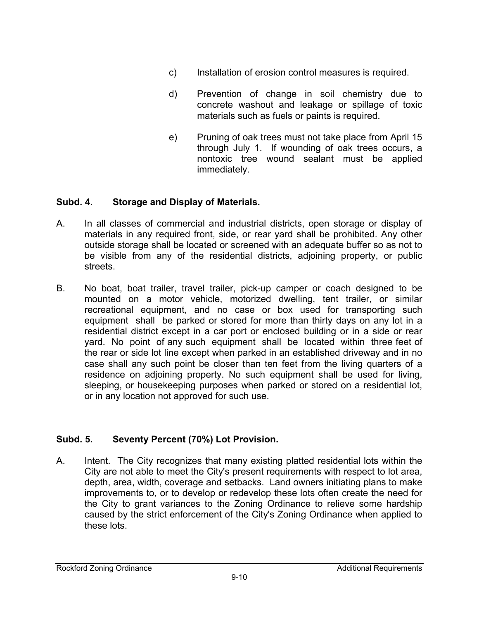- c) Installation of erosion control measures is required.
- d) Prevention of change in soil chemistry due to concrete washout and leakage or spillage of toxic materials such as fuels or paints is required.
- e) Pruning of oak trees must not take place from April 15 through July 1. If wounding of oak trees occurs, a nontoxic tree wound sealant must be applied immediately.

# **Subd. 4. Storage and Display of Materials.**

- A. In all classes of commercial and industrial districts, open storage or display of materials in any required front, side, or rear yard shall be prohibited. Any other outside storage shall be located or screened with an adequate buffer so as not to be visible from any of the residential districts, adjoining property, or public streets.
- B. No boat, boat trailer, travel trailer, pick-up camper or coach designed to be mounted on a motor vehicle, motorized dwelling, tent trailer, or similar recreational equipment, and no case or box used for transporting such equipment shall be parked or stored for more than thirty days on any lot in a residential district except in a car port or enclosed building or in a side or rear yard. No point of any such equipment shall be located within three feet of the rear or side lot line except when parked in an established driveway and in no case shall any such point be closer than ten feet from the living quarters of a residence on adjoining property. No such equipment shall be used for living, sleeping, or housekeeping purposes when parked or stored on a residential lot, or in any location not approved for such use.

# **Subd. 5. Seventy Percent (70%) Lot Provision.**

A. Intent. The City recognizes that many existing platted residential lots within the City are not able to meet the City's present requirements with respect to lot area, depth, area, width, coverage and setbacks. Land owners initiating plans to make improvements to, or to develop or redevelop these lots often create the need for the City to grant variances to the Zoning Ordinance to relieve some hardship caused by the strict enforcement of the City's Zoning Ordinance when applied to these lots.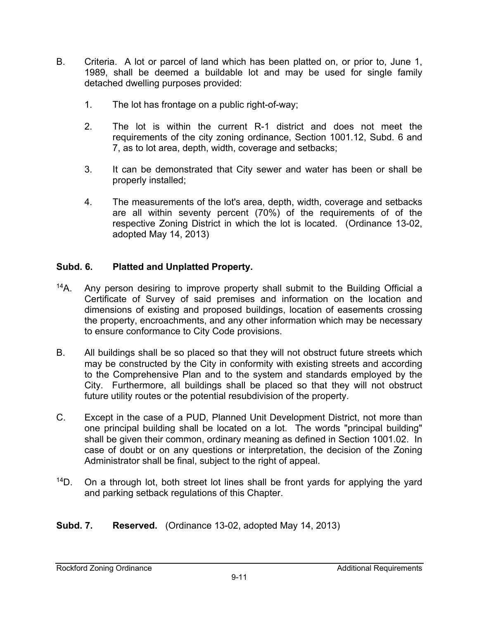- B. Criteria. A lot or parcel of land which has been platted on, or prior to, June 1, 1989, shall be deemed a buildable lot and may be used for single family detached dwelling purposes provided:
	- 1. The lot has frontage on a public right-of-way;
	- 2. The lot is within the current R-1 district and does not meet the requirements of the city zoning ordinance, Section 1001.12, Subd. 6 and 7, as to lot area, depth, width, coverage and setbacks;
	- 3. It can be demonstrated that City sewer and water has been or shall be properly installed;
	- 4. The measurements of the lot's area, depth, width, coverage and setbacks are all within seventy percent (70%) of the requirements of of the respective Zoning District in which the lot is located. (Ordinance 13-02, adopted May 14, 2013)

### **Subd. 6. Platted and Unplatted Property.**

- $14A$ . Any person desiring to improve property shall submit to the Building Official a Certificate of Survey of said premises and information on the location and dimensions of existing and proposed buildings, location of easements crossing the property, encroachments, and any other information which may be necessary to ensure conformance to City Code provisions.
- B. All buildings shall be so placed so that they will not obstruct future streets which may be constructed by the City in conformity with existing streets and according to the Comprehensive Plan and to the system and standards employed by the City. Furthermore, all buildings shall be placed so that they will not obstruct future utility routes or the potential resubdivision of the property.
- C. Except in the case of a PUD, Planned Unit Development District, not more than one principal building shall be located on a lot. The words "principal building" shall be given their common, ordinary meaning as defined in Section 1001.02. In case of doubt or on any questions or interpretation, the decision of the Zoning Administrator shall be final, subject to the right of appeal.
- $14D$ . On a through lot, both street lot lines shall be front yards for applying the yard and parking setback regulations of this Chapter.
- **Subd. 7. Reserved.** (Ordinance 13-02, adopted May 14, 2013)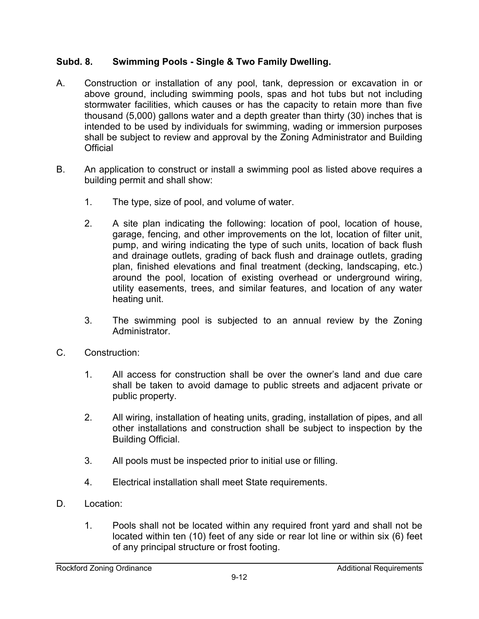### **Subd. 8. Swimming Pools - Single & Two Family Dwelling.**

- A. Construction or installation of any pool, tank, depression or excavation in or above ground, including swimming pools, spas and hot tubs but not including stormwater facilities, which causes or has the capacity to retain more than five thousand (5,000) gallons water and a depth greater than thirty (30) inches that is intended to be used by individuals for swimming, wading or immersion purposes shall be subject to review and approval by the Zoning Administrator and Building **Official**
- B. An application to construct or install a swimming pool as listed above requires a building permit and shall show:
	- 1. The type, size of pool, and volume of water.
	- 2. A site plan indicating the following: location of pool, location of house, garage, fencing, and other improvements on the lot, location of filter unit, pump, and wiring indicating the type of such units, location of back flush and drainage outlets, grading of back flush and drainage outlets, grading plan, finished elevations and final treatment (decking, landscaping, etc.) around the pool, location of existing overhead or underground wiring, utility easements, trees, and similar features, and location of any water heating unit.
	- 3. The swimming pool is subjected to an annual review by the Zoning Administrator.
- C. Construction:
	- 1. All access for construction shall be over the owner's land and due care shall be taken to avoid damage to public streets and adjacent private or public property.
	- 2. All wiring, installation of heating units, grading, installation of pipes, and all other installations and construction shall be subject to inspection by the Building Official.
	- 3. All pools must be inspected prior to initial use or filling.
	- 4. Electrical installation shall meet State requirements.
- D. Location:
	- 1. Pools shall not be located within any required front yard and shall not be located within ten (10) feet of any side or rear lot line or within six (6) feet of any principal structure or frost footing.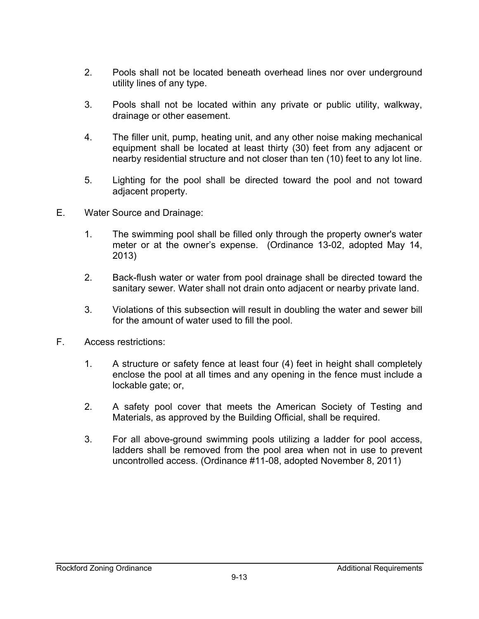- 2. Pools shall not be located beneath overhead lines nor over underground utility lines of any type.
- 3. Pools shall not be located within any private or public utility, walkway, drainage or other easement.
- 4. The filler unit, pump, heating unit, and any other noise making mechanical equipment shall be located at least thirty (30) feet from any adjacent or nearby residential structure and not closer than ten (10) feet to any lot line.
- 5. Lighting for the pool shall be directed toward the pool and not toward adjacent property.
- E. Water Source and Drainage:
	- 1. The swimming pool shall be filled only through the property owner's water meter or at the owner's expense. (Ordinance 13-02, adopted May 14, 2013)
	- 2. Back-flush water or water from pool drainage shall be directed toward the sanitary sewer. Water shall not drain onto adjacent or nearby private land.
	- 3. Violations of this subsection will result in doubling the water and sewer bill for the amount of water used to fill the pool.
- F. Access restrictions:
	- 1. A structure or safety fence at least four (4) feet in height shall completely enclose the pool at all times and any opening in the fence must include a lockable gate; or,
	- 2. A safety pool cover that meets the American Society of Testing and Materials, as approved by the Building Official, shall be required.
	- 3. For all above-ground swimming pools utilizing a ladder for pool access, ladders shall be removed from the pool area when not in use to prevent uncontrolled access. (Ordinance #11-08, adopted November 8, 2011)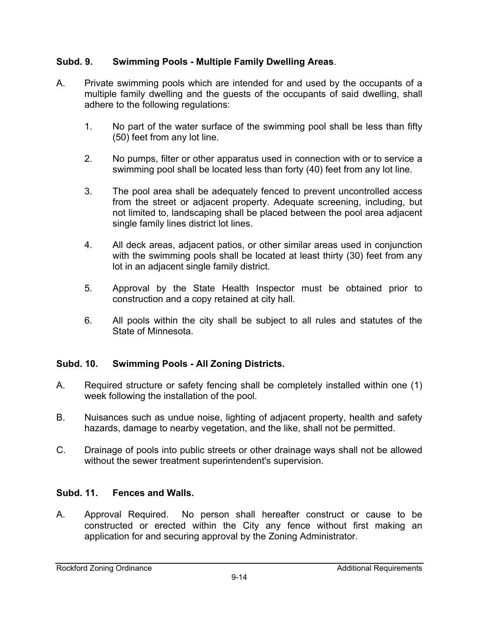### **Subd. 9. Swimming Pools - Multiple Family Dwelling Areas**.

- A. Private swimming pools which are intended for and used by the occupants of a multiple family dwelling and the guests of the occupants of said dwelling, shall adhere to the following regulations:
	- 1. No part of the water surface of the swimming pool shall be less than fifty (50) feet from any lot line.
	- 2. No pumps, filter or other apparatus used in connection with or to service a swimming pool shall be located less than forty (40) feet from any lot line.
	- 3. The pool area shall be adequately fenced to prevent uncontrolled access from the street or adjacent property. Adequate screening, including, but not limited to, landscaping shall be placed between the pool area adjacent single family lines district lot lines.
	- 4. All deck areas, adjacent patios, or other similar areas used in conjunction with the swimming pools shall be located at least thirty (30) feet from any lot in an adjacent single family district.
	- 5. Approval by the State Health Inspector must be obtained prior to construction and a copy retained at city hall.
	- 6. All pools within the city shall be subject to all rules and statutes of the State of Minnesota.

### **Subd. 10. Swimming Pools - All Zoning Districts.**

- A. Required structure or safety fencing shall be completely installed within one (1) week following the installation of the pool.
- B. Nuisances such as undue noise, lighting of adjacent property, health and safety hazards, damage to nearby vegetation, and the like, shall not be permitted.
- C. Drainage of pools into public streets or other drainage ways shall not be allowed without the sewer treatment superintendent's supervision.

### **Subd. 11. Fences and Walls.**

A. Approval Required. No person shall hereafter construct or cause to be constructed or erected within the City any fence without first making an application for and securing approval by the Zoning Administrator.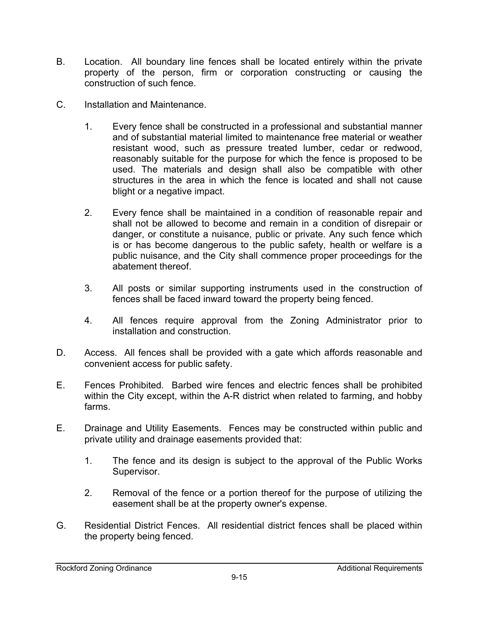- B. Location. All boundary line fences shall be located entirely within the private property of the person, firm or corporation constructing or causing the construction of such fence.
- C. Installation and Maintenance.
	- 1. Every fence shall be constructed in a professional and substantial manner and of substantial material limited to maintenance free material or weather resistant wood, such as pressure treated lumber, cedar or redwood, reasonably suitable for the purpose for which the fence is proposed to be used. The materials and design shall also be compatible with other structures in the area in which the fence is located and shall not cause blight or a negative impact.
	- 2. Every fence shall be maintained in a condition of reasonable repair and shall not be allowed to become and remain in a condition of disrepair or danger, or constitute a nuisance, public or private. Any such fence which is or has become dangerous to the public safety, health or welfare is a public nuisance, and the City shall commence proper proceedings for the abatement thereof.
	- 3. All posts or similar supporting instruments used in the construction of fences shall be faced inward toward the property being fenced.
	- 4. All fences require approval from the Zoning Administrator prior to installation and construction.
- D. Access. All fences shall be provided with a gate which affords reasonable and convenient access for public safety.
- E. Fences Prohibited. Barbed wire fences and electric fences shall be prohibited within the City except, within the A-R district when related to farming, and hobby farms.
- E. Drainage and Utility Easements. Fences may be constructed within public and private utility and drainage easements provided that:
	- 1. The fence and its design is subject to the approval of the Public Works Supervisor.
	- 2. Removal of the fence or a portion thereof for the purpose of utilizing the easement shall be at the property owner's expense.
- G. Residential District Fences. All residential district fences shall be placed within the property being fenced.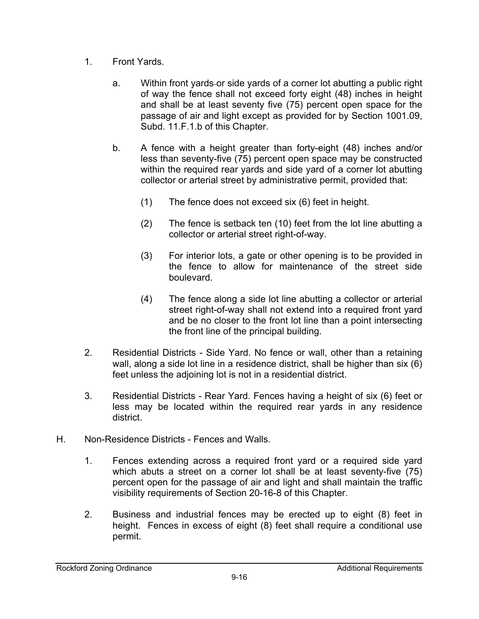- 1. Front Yards.
	- a. Within front yards or side yards of a corner lot abutting a public right of way the fence shall not exceed forty eight (48) inches in height and shall be at least seventy five (75) percent open space for the passage of air and light except as provided for by Section 1001.09, Subd. 11.F.1.b of this Chapter.
	- b. A fence with a height greater than forty-eight (48) inches and/or less than seventy-five (75) percent open space may be constructed within the required rear yards and side yard of a corner lot abutting collector or arterial street by administrative permit, provided that:
		- (1) The fence does not exceed six (6) feet in height.
		- (2) The fence is setback ten (10) feet from the lot line abutting a collector or arterial street right-of-way.
		- (3) For interior lots, a gate or other opening is to be provided in the fence to allow for maintenance of the street side boulevard.
		- (4) The fence along a side lot line abutting a collector or arterial street right-of-way shall not extend into a required front yard and be no closer to the front lot line than a point intersecting the front line of the principal building.
- 2. Residential Districts Side Yard. No fence or wall, other than a retaining wall, along a side lot line in a residence district, shall be higher than six (6) feet unless the adjoining lot is not in a residential district.
- 3. Residential Districts Rear Yard. Fences having a height of six (6) feet or less may be located within the required rear yards in any residence district.
- H. Non-Residence Districts Fences and Walls.
	- 1. Fences extending across a required front yard or a required side yard which abuts a street on a corner lot shall be at least seventy-five (75) percent open for the passage of air and light and shall maintain the traffic visibility requirements of Section 20-16-8 of this Chapter.
	- 2. Business and industrial fences may be erected up to eight (8) feet in height. Fences in excess of eight (8) feet shall require a conditional use permit.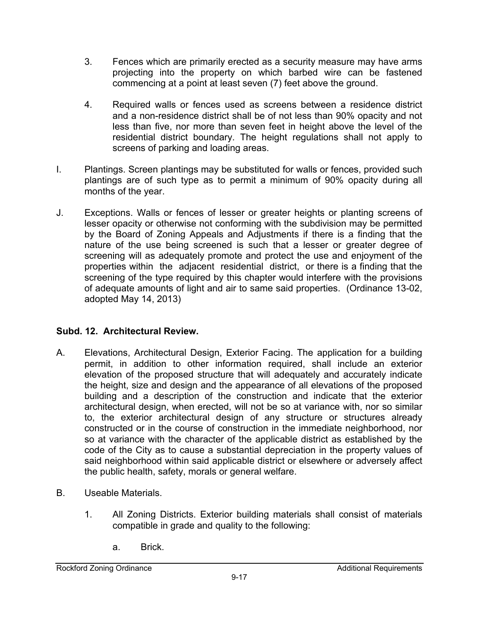- 3. Fences which are primarily erected as a security measure may have arms projecting into the property on which barbed wire can be fastened commencing at a point at least seven (7) feet above the ground.
- 4. Required walls or fences used as screens between a residence district and a non-residence district shall be of not less than 90% opacity and not less than five, nor more than seven feet in height above the level of the residential district boundary. The height regulations shall not apply to screens of parking and loading areas.
- I. Plantings. Screen plantings may be substituted for walls or fences, provided such plantings are of such type as to permit a minimum of 90% opacity during all months of the year.
- J. Exceptions. Walls or fences of lesser or greater heights or planting screens of lesser opacity or otherwise not conforming with the subdivision may be permitted by the Board of Zoning Appeals and Adjustments if there is a finding that the nature of the use being screened is such that a lesser or greater degree of screening will as adequately promote and protect the use and enjoyment of the properties within the adjacent residential district, or there is a finding that the screening of the type required by this chapter would interfere with the provisions of adequate amounts of light and air to same said properties. (Ordinance 13-02, adopted May 14, 2013)

### **Subd. 12. Architectural Review.**

- A. Elevations, Architectural Design, Exterior Facing. The application for a building permit, in addition to other information required, shall include an exterior elevation of the proposed structure that will adequately and accurately indicate the height, size and design and the appearance of all elevations of the proposed building and a description of the construction and indicate that the exterior architectural design, when erected, will not be so at variance with, nor so similar to, the exterior architectural design of any structure or structures already constructed or in the course of construction in the immediate neighborhood, nor so at variance with the character of the applicable district as established by the code of the City as to cause a substantial depreciation in the property values of said neighborhood within said applicable district or elsewhere or adversely affect the public health, safety, morals or general welfare.
- B. Useable Materials.
	- 1. All Zoning Districts. Exterior building materials shall consist of materials compatible in grade and quality to the following:
		- a. Brick.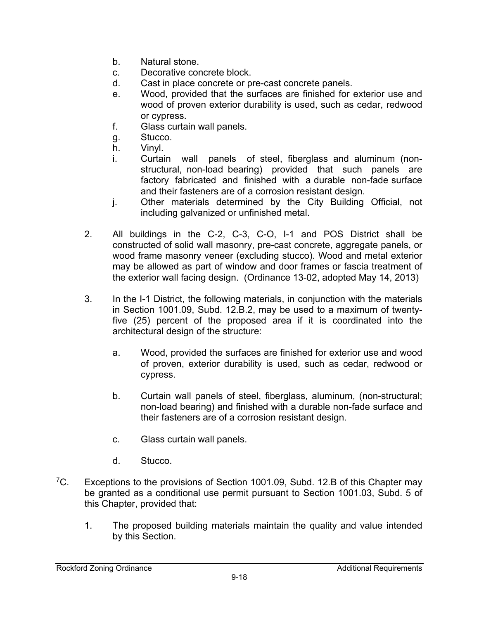- b. Natural stone.
- c. Decorative concrete block.
- d. Cast in place concrete or pre-cast concrete panels.
- e. Wood, provided that the surfaces are finished for exterior use and wood of proven exterior durability is used, such as cedar, redwood or cypress.
- f. Glass curtain wall panels.
- g. Stucco.
- h. Vinyl.
- i. Curtain wall panels of steel, fiberglass and aluminum (nonstructural, non-load bearing) provided that such panels are factory fabricated and finished with a durable non-fade surface and their fasteners are of a corrosion resistant design.
- j. Other materials determined by the City Building Official, not including galvanized or unfinished metal.
- 2. All buildings in the C-2, C-3, C-O, I-1 and POS District shall be constructed of solid wall masonry, pre-cast concrete, aggregate panels, or wood frame masonry veneer (excluding stucco). Wood and metal exterior may be allowed as part of window and door frames or fascia treatment of the exterior wall facing design. (Ordinance 13-02, adopted May 14, 2013)
- 3. In the I-1 District, the following materials, in conjunction with the materials in Section 1001.09, Subd. 12.B.2, may be used to a maximum of twentyfive (25) percent of the proposed area if it is coordinated into the architectural design of the structure:
	- a. Wood, provided the surfaces are finished for exterior use and wood of proven, exterior durability is used, such as cedar, redwood or cypress.
	- b. Curtain wall panels of steel, fiberglass, aluminum, (non-structural; non-load bearing) and finished with a durable non-fade surface and their fasteners are of a corrosion resistant design.
	- c. Glass curtain wall panels.
	- d. Stucco.
- ${}^{7}C$ . Exceptions to the provisions of Section 1001.09, Subd. 12.B of this Chapter may be granted as a conditional use permit pursuant to Section 1001.03, Subd. 5 of this Chapter, provided that:
	- 1. The proposed building materials maintain the quality and value intended by this Section.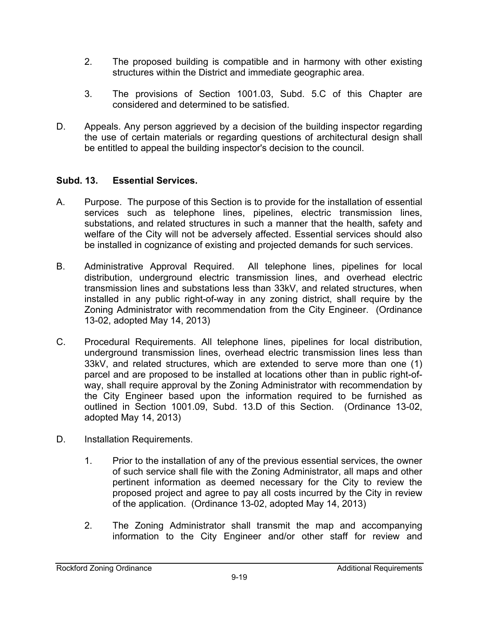- 2. The proposed building is compatible and in harmony with other existing structures within the District and immediate geographic area.
- 3. The provisions of Section 1001.03, Subd. 5.C of this Chapter are considered and determined to be satisfied.
- D. Appeals. Any person aggrieved by a decision of the building inspector regarding the use of certain materials or regarding questions of architectural design shall be entitled to appeal the building inspector's decision to the council.

### **Subd. 13. Essential Services.**

- A. Purpose. The purpose of this Section is to provide for the installation of essential services such as telephone lines, pipelines, electric transmission lines, substations, and related structures in such a manner that the health, safety and welfare of the City will not be adversely affected. Essential services should also be installed in cognizance of existing and projected demands for such services.
- B. Administrative Approval Required. All telephone lines, pipelines for local distribution, underground electric transmission lines, and overhead electric transmission lines and substations less than 33kV, and related structures, when installed in any public right-of-way in any zoning district, shall require by the Zoning Administrator with recommendation from the City Engineer. (Ordinance 13-02, adopted May 14, 2013)
- C. Procedural Requirements. All telephone lines, pipelines for local distribution, underground transmission lines, overhead electric transmission lines less than 33kV, and related structures, which are extended to serve more than one (1) parcel and are proposed to be installed at locations other than in public right-ofway, shall require approval by the Zoning Administrator with recommendation by the City Engineer based upon the information required to be furnished as outlined in Section 1001.09, Subd. 13.D of this Section. (Ordinance 13-02, adopted May 14, 2013)
- D. Installation Requirements.
	- 1. Prior to the installation of any of the previous essential services, the owner of such service shall file with the Zoning Administrator, all maps and other pertinent information as deemed necessary for the City to review the proposed project and agree to pay all costs incurred by the City in review of the application. (Ordinance 13-02, adopted May 14, 2013)
	- 2. The Zoning Administrator shall transmit the map and accompanying information to the City Engineer and/or other staff for review and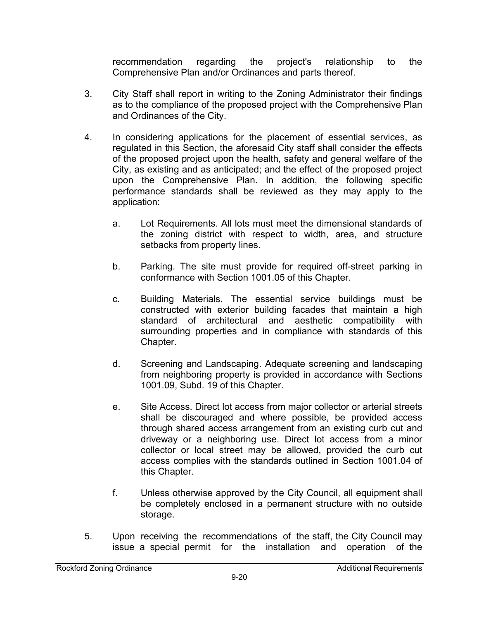recommendation regarding the project's relationship to the Comprehensive Plan and/or Ordinances and parts thereof.

- 3. City Staff shall report in writing to the Zoning Administrator their findings as to the compliance of the proposed project with the Comprehensive Plan and Ordinances of the City.
- 4. In considering applications for the placement of essential services, as regulated in this Section, the aforesaid City staff shall consider the effects of the proposed project upon the health, safety and general welfare of the City, as existing and as anticipated; and the effect of the proposed project upon the Comprehensive Plan. In addition, the following specific performance standards shall be reviewed as they may apply to the application:
	- a. Lot Requirements. All lots must meet the dimensional standards of the zoning district with respect to width, area, and structure setbacks from property lines.
	- b. Parking. The site must provide for required off-street parking in conformance with Section 1001.05 of this Chapter.
	- c. Building Materials. The essential service buildings must be constructed with exterior building facades that maintain a high standard of architectural and aesthetic compatibility with surrounding properties and in compliance with standards of this Chapter.
	- d. Screening and Landscaping. Adequate screening and landscaping from neighboring property is provided in accordance with Sections 1001.09, Subd. 19 of this Chapter.
	- e. Site Access. Direct lot access from major collector or arterial streets shall be discouraged and where possible, be provided access through shared access arrangement from an existing curb cut and driveway or a neighboring use. Direct lot access from a minor collector or local street may be allowed, provided the curb cut access complies with the standards outlined in Section 1001.04 of this Chapter.
	- f. Unless otherwise approved by the City Council, all equipment shall be completely enclosed in a permanent structure with no outside storage.
- 5. Upon receiving the recommendations of the staff, the City Council may issue a special permit for the installation and operation of the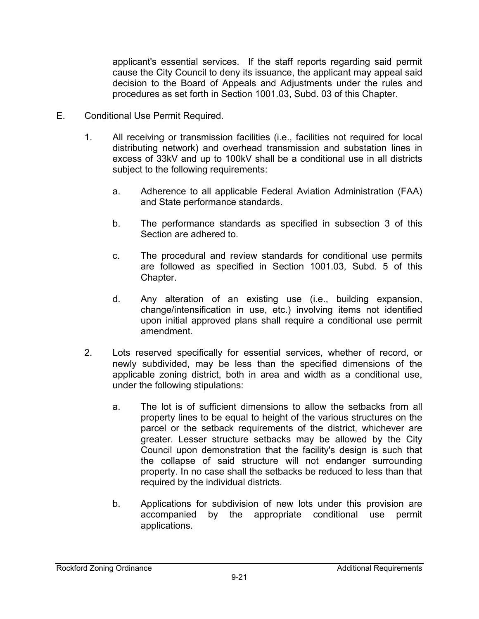applicant's essential services. If the staff reports regarding said permit cause the City Council to deny its issuance, the applicant may appeal said decision to the Board of Appeals and Adjustments under the rules and procedures as set forth in Section 1001.03, Subd. 03 of this Chapter.

- E. Conditional Use Permit Required.
	- 1. All receiving or transmission facilities (i.e., facilities not required for local distributing network) and overhead transmission and substation lines in excess of 33kV and up to 100kV shall be a conditional use in all districts subject to the following requirements:
		- a. Adherence to all applicable Federal Aviation Administration (FAA) and State performance standards.
		- b. The performance standards as specified in subsection 3 of this Section are adhered to.
		- c. The procedural and review standards for conditional use permits are followed as specified in Section 1001.03, Subd. 5 of this Chapter.
		- d. Any alteration of an existing use (i.e., building expansion, change/intensification in use, etc.) involving items not identified upon initial approved plans shall require a conditional use permit amendment.
	- 2. Lots reserved specifically for essential services, whether of record, or newly subdivided, may be less than the specified dimensions of the applicable zoning district, both in area and width as a conditional use, under the following stipulations:
		- a. The lot is of sufficient dimensions to allow the setbacks from all property lines to be equal to height of the various structures on the parcel or the setback requirements of the district, whichever are greater. Lesser structure setbacks may be allowed by the City Council upon demonstration that the facility's design is such that the collapse of said structure will not endanger surrounding property. In no case shall the setbacks be reduced to less than that required by the individual districts.
		- b. Applications for subdivision of new lots under this provision are accompanied by the appropriate conditional use permit applications.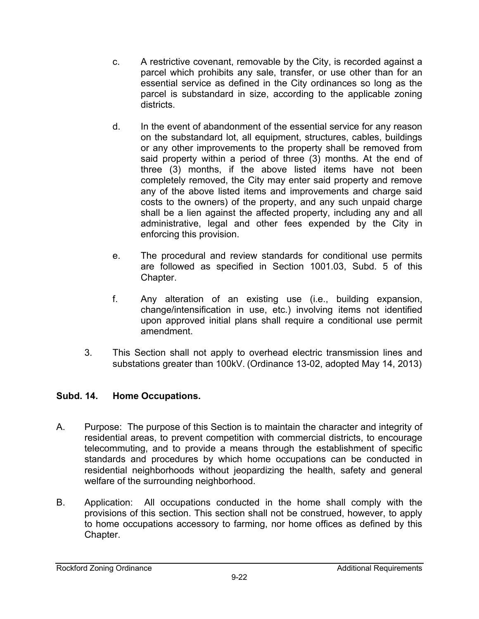- c. A restrictive covenant, removable by the City, is recorded against a parcel which prohibits any sale, transfer, or use other than for an essential service as defined in the City ordinances so long as the parcel is substandard in size, according to the applicable zoning districts.
- d. In the event of abandonment of the essential service for any reason on the substandard lot, all equipment, structures, cables, buildings or any other improvements to the property shall be removed from said property within a period of three (3) months. At the end of three (3) months, if the above listed items have not been completely removed, the City may enter said property and remove any of the above listed items and improvements and charge said costs to the owners) of the property, and any such unpaid charge shall be a lien against the affected property, including any and all administrative, legal and other fees expended by the City in enforcing this provision.
- e. The procedural and review standards for conditional use permits are followed as specified in Section 1001.03, Subd. 5 of this Chapter.
- f. Any alteration of an existing use (i.e., building expansion, change/intensification in use, etc.) involving items not identified upon approved initial plans shall require a conditional use permit amendment.
- 3. This Section shall not apply to overhead electric transmission lines and substations greater than 100kV. (Ordinance 13-02, adopted May 14, 2013)

### **Subd. 14. Home Occupations.**

- A. Purpose: The purpose of this Section is to maintain the character and integrity of residential areas, to prevent competition with commercial districts, to encourage telecommuting, and to provide a means through the establishment of specific standards and procedures by which home occupations can be conducted in residential neighborhoods without jeopardizing the health, safety and general welfare of the surrounding neighborhood.
- B. Application: All occupations conducted in the home shall comply with the provisions of this section. This section shall not be construed, however, to apply to home occupations accessory to farming, nor home offices as defined by this Chapter.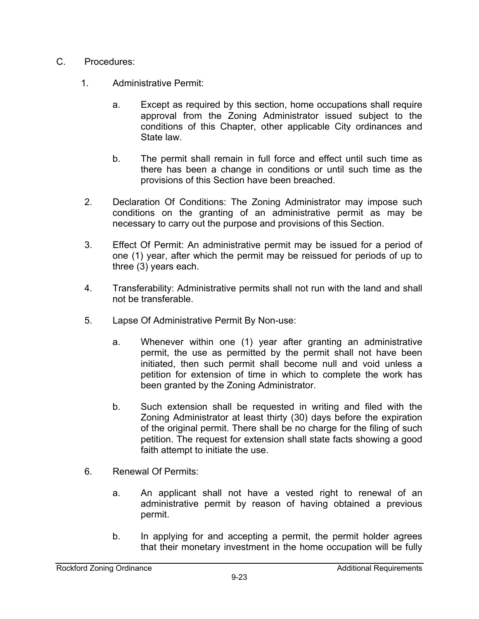- C. Procedures:
	- 1. Administrative Permit:
		- a. Except as required by this section, home occupations shall require approval from the Zoning Administrator issued subject to the conditions of this Chapter, other applicable City ordinances and State law.
		- b. The permit shall remain in full force and effect until such time as there has been a change in conditions or until such time as the provisions of this Section have been breached.
	- 2. Declaration Of Conditions: The Zoning Administrator may impose such conditions on the granting of an administrative permit as may be necessary to carry out the purpose and provisions of this Section.
	- 3. Effect Of Permit: An administrative permit may be issued for a period of one (1) year, after which the permit may be reissued for periods of up to three (3) years each.
	- 4. Transferability: Administrative permits shall not run with the land and shall not be transferable.
	- 5. Lapse Of Administrative Permit By Non-use:
		- a. Whenever within one (1) year after granting an administrative permit, the use as permitted by the permit shall not have been initiated, then such permit shall become null and void unless a petition for extension of time in which to complete the work has been granted by the Zoning Administrator.
		- b. Such extension shall be requested in writing and filed with the Zoning Administrator at least thirty (30) days before the expiration of the original permit. There shall be no charge for the filing of such petition. The request for extension shall state facts showing a good faith attempt to initiate the use.
	- 6. Renewal Of Permits:
		- a. An applicant shall not have a vested right to renewal of an administrative permit by reason of having obtained a previous permit.
		- b. In applying for and accepting a permit, the permit holder agrees that their monetary investment in the home occupation will be fully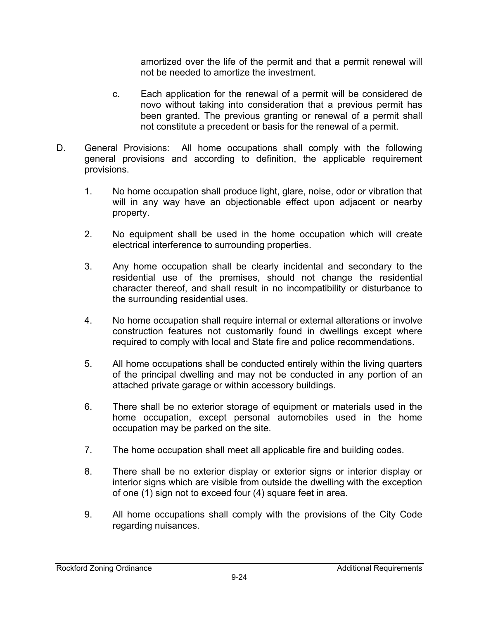amortized over the life of the permit and that a permit renewal will not be needed to amortize the investment.

- c. Each application for the renewal of a permit will be considered de novo without taking into consideration that a previous permit has been granted. The previous granting or renewal of a permit shall not constitute a precedent or basis for the renewal of a permit.
- D. General Provisions: All home occupations shall comply with the following general provisions and according to definition, the applicable requirement provisions.
	- 1. No home occupation shall produce light, glare, noise, odor or vibration that will in any way have an objectionable effect upon adjacent or nearby property.
	- 2. No equipment shall be used in the home occupation which will create electrical interference to surrounding properties.
	- 3. Any home occupation shall be clearly incidental and secondary to the residential use of the premises, should not change the residential character thereof, and shall result in no incompatibility or disturbance to the surrounding residential uses.
	- 4. No home occupation shall require internal or external alterations or involve construction features not customarily found in dwellings except where required to comply with local and State fire and police recommendations.
	- 5. All home occupations shall be conducted entirely within the living quarters of the principal dwelling and may not be conducted in any portion of an attached private garage or within accessory buildings.
	- 6. There shall be no exterior storage of equipment or materials used in the home occupation, except personal automobiles used in the home occupation may be parked on the site.
	- 7. The home occupation shall meet all applicable fire and building codes.
	- 8. There shall be no exterior display or exterior signs or interior display or interior signs which are visible from outside the dwelling with the exception of one (1) sign not to exceed four (4) square feet in area.
	- 9. All home occupations shall comply with the provisions of the City Code regarding nuisances.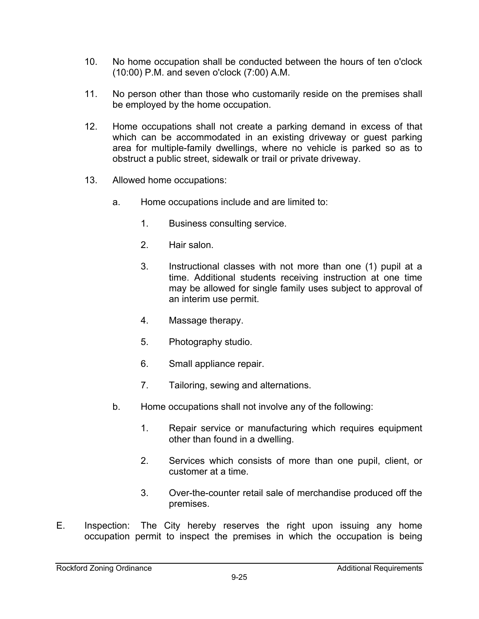- 10. No home occupation shall be conducted between the hours of ten o'clock (10:00) P.M. and seven o'clock (7:00) A.M.
- 11. No person other than those who customarily reside on the premises shall be employed by the home occupation.
- 12. Home occupations shall not create a parking demand in excess of that which can be accommodated in an existing driveway or guest parking area for multiple-family dwellings, where no vehicle is parked so as to obstruct a public street, sidewalk or trail or private driveway.
- 13. Allowed home occupations:
	- a. Home occupations include and are limited to:
		- 1. Business consulting service.
		- 2. Hair salon.
		- 3. Instructional classes with not more than one (1) pupil at a time. Additional students receiving instruction at one time may be allowed for single family uses subject to approval of an interim use permit.
		- 4. Massage therapy.
		- 5. Photography studio.
		- 6. Small appliance repair.
		- 7. Tailoring, sewing and alternations.
	- b. Home occupations shall not involve any of the following:
		- 1. Repair service or manufacturing which requires equipment other than found in a dwelling.
		- 2. Services which consists of more than one pupil, client, or customer at a time.
		- 3. Over-the-counter retail sale of merchandise produced off the premises.
- E. Inspection: The City hereby reserves the right upon issuing any home occupation permit to inspect the premises in which the occupation is being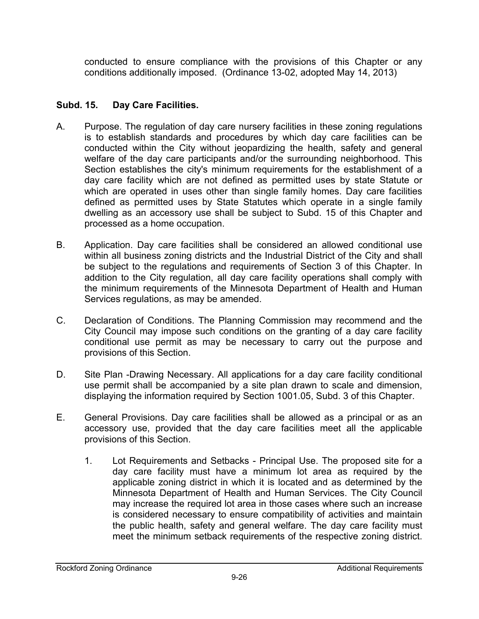conducted to ensure compliance with the provisions of this Chapter or any conditions additionally imposed. (Ordinance 13-02, adopted May 14, 2013)

### **Subd. 15. Day Care Facilities.**

- A. Purpose. The regulation of day care nursery facilities in these zoning regulations is to establish standards and procedures by which day care facilities can be conducted within the City without jeopardizing the health, safety and general welfare of the day care participants and/or the surrounding neighborhood. This Section establishes the city's minimum requirements for the establishment of a day care facility which are not defined as permitted uses by state Statute or which are operated in uses other than single family homes. Day care facilities defined as permitted uses by State Statutes which operate in a single family dwelling as an accessory use shall be subject to Subd. 15 of this Chapter and processed as a home occupation.
- B. Application. Day care facilities shall be considered an allowed conditional use within all business zoning districts and the Industrial District of the City and shall be subject to the regulations and requirements of Section 3 of this Chapter. In addition to the City regulation, all day care facility operations shall comply with the minimum requirements of the Minnesota Department of Health and Human Services regulations, as may be amended.
- C. Declaration of Conditions. The Planning Commission may recommend and the City Council may impose such conditions on the granting of a day care facility conditional use permit as may be necessary to carry out the purpose and provisions of this Section.
- D. Site Plan -Drawing Necessary. All applications for a day care facility conditional use permit shall be accompanied by a site plan drawn to scale and dimension, displaying the information required by Section 1001.05, Subd. 3 of this Chapter.
- E. General Provisions. Day care facilities shall be allowed as a principal or as an accessory use, provided that the day care facilities meet all the applicable provisions of this Section.
	- 1. Lot Requirements and Setbacks Principal Use. The proposed site for a day care facility must have a minimum lot area as required by the applicable zoning district in which it is located and as determined by the Minnesota Department of Health and Human Services. The City Council may increase the required lot area in those cases where such an increase is considered necessary to ensure compatibility of activities and maintain the public health, safety and general welfare. The day care facility must meet the minimum setback requirements of the respective zoning district.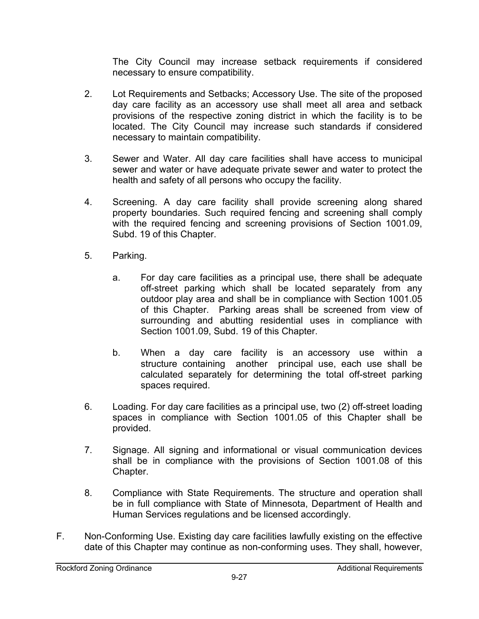The City Council may increase setback requirements if considered necessary to ensure compatibility.

- 2. Lot Requirements and Setbacks; Accessory Use. The site of the proposed day care facility as an accessory use shall meet all area and setback provisions of the respective zoning district in which the facility is to be located. The City Council may increase such standards if considered necessary to maintain compatibility.
- 3. Sewer and Water. All day care facilities shall have access to municipal sewer and water or have adequate private sewer and water to protect the health and safety of all persons who occupy the facility.
- 4. Screening. A day care facility shall provide screening along shared property boundaries. Such required fencing and screening shall comply with the required fencing and screening provisions of Section 1001.09, Subd. 19 of this Chapter.
- 5. Parking.
	- a. For day care facilities as a principal use, there shall be adequate off-street parking which shall be located separately from any outdoor play area and shall be in compliance with Section 1001.05 of this Chapter. Parking areas shall be screened from view of surrounding and abutting residential uses in compliance with Section 1001.09, Subd. 19 of this Chapter.
	- b. When a day care facility is an accessory use within a structure containing another principal use, each use shall be calculated separately for determining the total off-street parking spaces required.
- 6. Loading. For day care facilities as a principal use, two (2) off-street loading spaces in compliance with Section 1001.05 of this Chapter shall be provided.
- 7. Signage. All signing and informational or visual communication devices shall be in compliance with the provisions of Section 1001.08 of this Chapter.
- 8. Compliance with State Requirements. The structure and operation shall be in full compliance with State of Minnesota, Department of Health and Human Services regulations and be licensed accordingly.
- F. Non-Conforming Use. Existing day care facilities lawfully existing on the effective date of this Chapter may continue as non-conforming uses. They shall, however,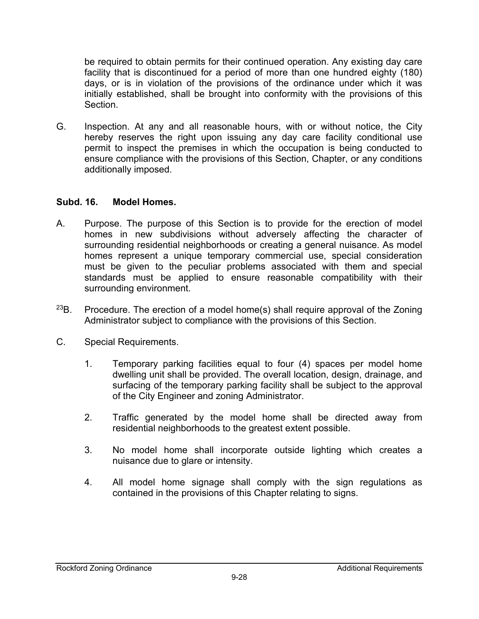be required to obtain permits for their continued operation. Any existing day care facility that is discontinued for a period of more than one hundred eighty (180) days, or is in violation of the provisions of the ordinance under which it was initially established, shall be brought into conformity with the provisions of this Section.

G. Inspection. At any and all reasonable hours, with or without notice, the City hereby reserves the right upon issuing any day care facility conditional use permit to inspect the premises in which the occupation is being conducted to ensure compliance with the provisions of this Section, Chapter, or any conditions additionally imposed.

#### **Subd. 16. Model Homes.**

- A. Purpose. The purpose of this Section is to provide for the erection of model homes in new subdivisions without adversely affecting the character of surrounding residential neighborhoods or creating a general nuisance. As model homes represent a unique temporary commercial use, special consideration must be given to the peculiar problems associated with them and special standards must be applied to ensure reasonable compatibility with their surrounding environment.
- $23B$ . Procedure. The erection of a model home(s) shall require approval of the Zoning Administrator subject to compliance with the provisions of this Section.
- C. Special Requirements.
	- 1. Temporary parking facilities equal to four (4) spaces per model home dwelling unit shall be provided. The overall location, design, drainage, and surfacing of the temporary parking facility shall be subject to the approval of the City Engineer and zoning Administrator.
	- 2. Traffic generated by the model home shall be directed away from residential neighborhoods to the greatest extent possible.
	- 3. No model home shall incorporate outside lighting which creates a nuisance due to glare or intensity.
	- 4. All model home signage shall comply with the sign regulations as contained in the provisions of this Chapter relating to signs.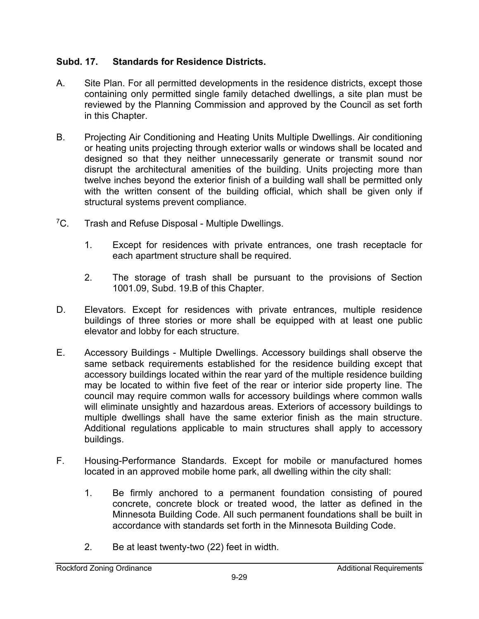### **Subd. 17. Standards for Residence Districts.**

- A. Site Plan. For all permitted developments in the residence districts, except those containing only permitted single family detached dwellings, a site plan must be reviewed by the Planning Commission and approved by the Council as set forth in this Chapter.
- B. Projecting Air Conditioning and Heating Units Multiple Dwellings. Air conditioning or heating units projecting through exterior walls or windows shall be located and designed so that they neither unnecessarily generate or transmit sound nor disrupt the architectural amenities of the building. Units projecting more than twelve inches beyond the exterior finish of a building wall shall be permitted only with the written consent of the building official, which shall be given only if structural systems prevent compliance.
- <sup>7</sup>C. Trash and Refuse Disposal Multiple Dwellings.
	- 1. Except for residences with private entrances, one trash receptacle for each apartment structure shall be required.
	- 2. The storage of trash shall be pursuant to the provisions of Section 1001.09, Subd. 19.B of this Chapter.
- D. Elevators. Except for residences with private entrances, multiple residence buildings of three stories or more shall be equipped with at least one public elevator and lobby for each structure.
- E. Accessory Buildings Multiple Dwellings. Accessory buildings shall observe the same setback requirements established for the residence building except that accessory buildings located within the rear yard of the multiple residence building may be located to within five feet of the rear or interior side property line. The council may require common walls for accessory buildings where common walls will eliminate unsightly and hazardous areas. Exteriors of accessory buildings to multiple dwellings shall have the same exterior finish as the main structure. Additional regulations applicable to main structures shall apply to accessory buildings.
- F. Housing-Performance Standards. Except for mobile or manufactured homes located in an approved mobile home park, all dwelling within the city shall:
	- 1. Be firmly anchored to a permanent foundation consisting of poured concrete, concrete block or treated wood, the latter as defined in the Minnesota Building Code. All such permanent foundations shall be built in accordance with standards set forth in the Minnesota Building Code.
	- 2. Be at least twenty-two (22) feet in width.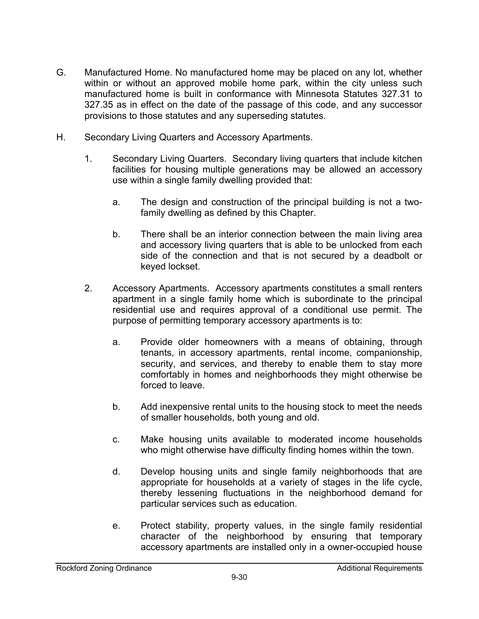- G. Manufactured Home. No manufactured home may be placed on any lot, whether within or without an approved mobile home park, within the city unless such manufactured home is built in conformance with Minnesota Statutes 327.31 to 327.35 as in effect on the date of the passage of this code, and any successor provisions to those statutes and any superseding statutes.
- H. Secondary Living Quarters and Accessory Apartments.
	- 1. Secondary Living Quarters. Secondary living quarters that include kitchen facilities for housing multiple generations may be allowed an accessory use within a single family dwelling provided that:
		- a. The design and construction of the principal building is not a twofamily dwelling as defined by this Chapter.
		- b. There shall be an interior connection between the main living area and accessory living quarters that is able to be unlocked from each side of the connection and that is not secured by a deadbolt or keyed lockset.
	- 2. Accessory Apartments. Accessory apartments constitutes a small renters apartment in a single family home which is subordinate to the principal residential use and requires approval of a conditional use permit. The purpose of permitting temporary accessory apartments is to:
		- a. Provide older homeowners with a means of obtaining, through tenants, in accessory apartments, rental income, companionship, security, and services, and thereby to enable them to stay more comfortably in homes and neighborhoods they might otherwise be forced to leave.
		- b. Add inexpensive rental units to the housing stock to meet the needs of smaller households, both young and old.
		- c. Make housing units available to moderated income households who might otherwise have difficulty finding homes within the town.
		- d. Develop housing units and single family neighborhoods that are appropriate for households at a variety of stages in the life cycle, thereby lessening fluctuations in the neighborhood demand for particular services such as education.
		- e. Protect stability, property values, in the single family residential character of the neighborhood by ensuring that temporary accessory apartments are installed only in a owner-occupied house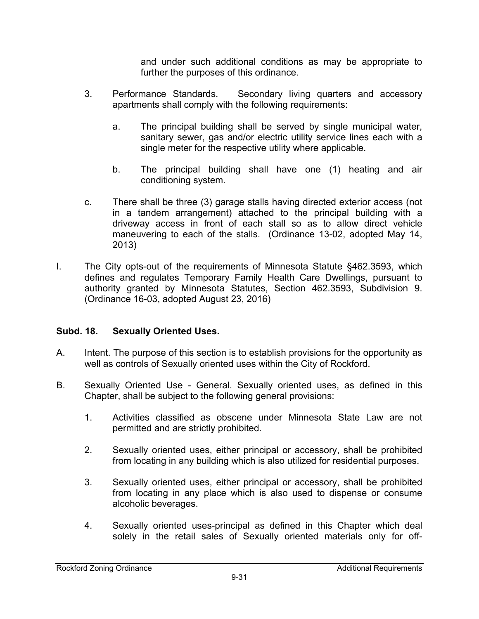and under such additional conditions as may be appropriate to further the purposes of this ordinance.

- 3. Performance Standards. Secondary living quarters and accessory apartments shall comply with the following requirements:
	- a. The principal building shall be served by single municipal water, sanitary sewer, gas and/or electric utility service lines each with a single meter for the respective utility where applicable.
	- b. The principal building shall have one (1) heating and air conditioning system.
- c. There shall be three (3) garage stalls having directed exterior access (not in a tandem arrangement) attached to the principal building with a driveway access in front of each stall so as to allow direct vehicle maneuvering to each of the stalls. (Ordinance 13-02, adopted May 14, 2013)
- I. The City opts-out of the requirements of Minnesota Statute §462.3593, which defines and regulates Temporary Family Health Care Dwellings, pursuant to authority granted by Minnesota Statutes, Section 462.3593, Subdivision 9. (Ordinance 16-03, adopted August 23, 2016)

### **Subd. 18. Sexually Oriented Uses.**

- A. Intent. The purpose of this section is to establish provisions for the opportunity as well as controls of Sexually oriented uses within the City of Rockford.
- B. Sexually Oriented Use General. Sexually oriented uses, as defined in this Chapter, shall be subject to the following general provisions:
	- 1. Activities classified as obscene under Minnesota State Law are not permitted and are strictly prohibited.
	- 2. Sexually oriented uses, either principal or accessory, shall be prohibited from locating in any building which is also utilized for residential purposes.
	- 3. Sexually oriented uses, either principal or accessory, shall be prohibited from locating in any place which is also used to dispense or consume alcoholic beverages.
	- 4. Sexually oriented uses-principal as defined in this Chapter which deal solely in the retail sales of Sexually oriented materials only for off-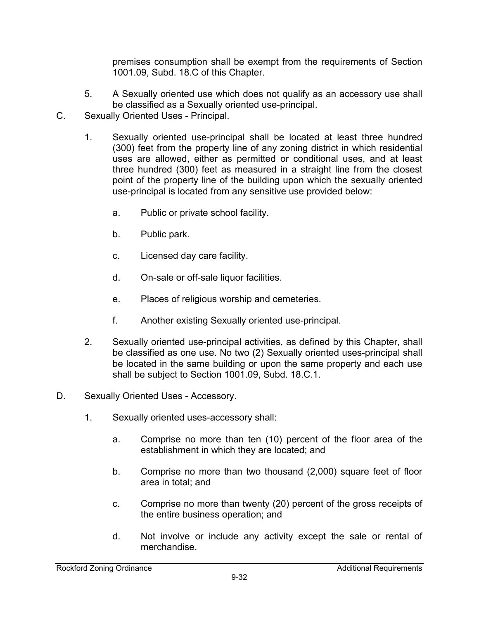premises consumption shall be exempt from the requirements of Section 1001.09, Subd. 18.C of this Chapter.

- 5. A Sexually oriented use which does not qualify as an accessory use shall be classified as a Sexually oriented use-principal.
- C. Sexually Oriented Uses Principal.
	- 1. Sexually oriented use-principal shall be located at least three hundred (300) feet from the property line of any zoning district in which residential uses are allowed, either as permitted or conditional uses, and at least three hundred (300) feet as measured in a straight line from the closest point of the property line of the building upon which the sexually oriented use-principal is located from any sensitive use provided below:
		- a. Public or private school facility.
		- b. Public park.
		- c. Licensed day care facility.
		- d. On-sale or off-sale liquor facilities.
		- e. Places of religious worship and cemeteries.
		- f. Another existing Sexually oriented use-principal.
	- 2. Sexually oriented use-principal activities, as defined by this Chapter, shall be classified as one use. No two (2) Sexually oriented uses-principal shall be located in the same building or upon the same property and each use shall be subject to Section 1001.09, Subd. 18.C.1.
- D. Sexually Oriented Uses Accessory.
	- 1. Sexually oriented uses-accessory shall:
		- a. Comprise no more than ten (10) percent of the floor area of the establishment in which they are located; and
		- b. Comprise no more than two thousand (2,000) square feet of floor area in total; and
		- c. Comprise no more than twenty (20) percent of the gross receipts of the entire business operation; and
		- d. Not involve or include any activity except the sale or rental of merchandise.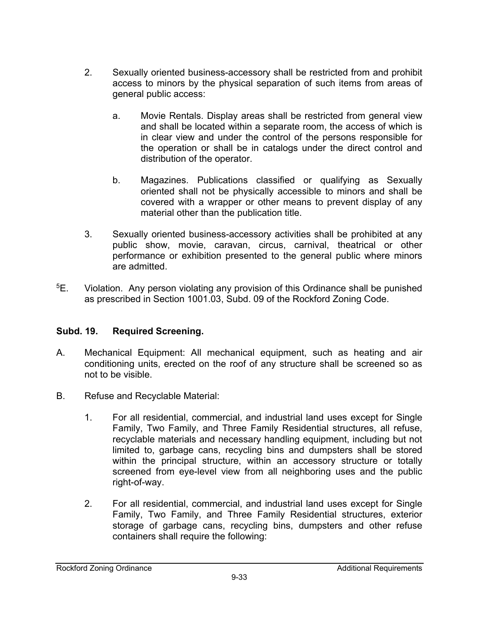- 2. Sexually oriented business-accessory shall be restricted from and prohibit access to minors by the physical separation of such items from areas of general public access:
	- a. Movie Rentals. Display areas shall be restricted from general view and shall be located within a separate room, the access of which is in clear view and under the control of the persons responsible for the operation or shall be in catalogs under the direct control and distribution of the operator.
	- b. Magazines. Publications classified or qualifying as Sexually oriented shall not be physically accessible to minors and shall be covered with a wrapper or other means to prevent display of any material other than the publication title.
- 3. Sexually oriented business-accessory activities shall be prohibited at any public show, movie, caravan, circus, carnival, theatrical or other performance or exhibition presented to the general public where minors are admitted.
- 5E. Violation. Any person violating any provision of this Ordinance shall be punished as prescribed in Section 1001.03, Subd. 09 of the Rockford Zoning Code.

#### **Subd. 19. Required Screening.**

- A. Mechanical Equipment: All mechanical equipment, such as heating and air conditioning units, erected on the roof of any structure shall be screened so as not to be visible.
- B. Refuse and Recyclable Material:
	- 1. For all residential, commercial, and industrial land uses except for Single Family, Two Family, and Three Family Residential structures, all refuse, recyclable materials and necessary handling equipment, including but not limited to, garbage cans, recycling bins and dumpsters shall be stored within the principal structure, within an accessory structure or totally screened from eye-level view from all neighboring uses and the public right-of-way.
	- 2. For all residential, commercial, and industrial land uses except for Single Family, Two Family, and Three Family Residential structures, exterior storage of garbage cans, recycling bins, dumpsters and other refuse containers shall require the following: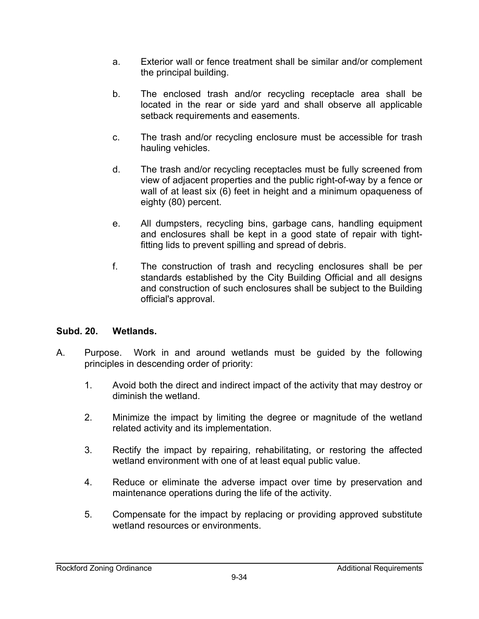- a. Exterior wall or fence treatment shall be similar and/or complement the principal building.
- b. The enclosed trash and/or recycling receptacle area shall be located in the rear or side yard and shall observe all applicable setback requirements and easements.
- c. The trash and/or recycling enclosure must be accessible for trash hauling vehicles.
- d. The trash and/or recycling receptacles must be fully screened from view of adjacent properties and the public right-of-way by a fence or wall of at least six (6) feet in height and a minimum opaqueness of eighty (80) percent.
- e. All dumpsters, recycling bins, garbage cans, handling equipment and enclosures shall be kept in a good state of repair with tightfitting lids to prevent spilling and spread of debris.
- f. The construction of trash and recycling enclosures shall be per standards established by the City Building Official and all designs and construction of such enclosures shall be subject to the Building official's approval.

#### **Subd. 20. Wetlands.**

- A. Purpose. Work in and around wetlands must be guided by the following principles in descending order of priority:
	- 1. Avoid both the direct and indirect impact of the activity that may destroy or diminish the wetland.
	- 2. Minimize the impact by limiting the degree or magnitude of the wetland related activity and its implementation.
	- 3. Rectify the impact by repairing, rehabilitating, or restoring the affected wetland environment with one of at least equal public value.
	- 4. Reduce or eliminate the adverse impact over time by preservation and maintenance operations during the life of the activity.
	- 5. Compensate for the impact by replacing or providing approved substitute wetland resources or environments.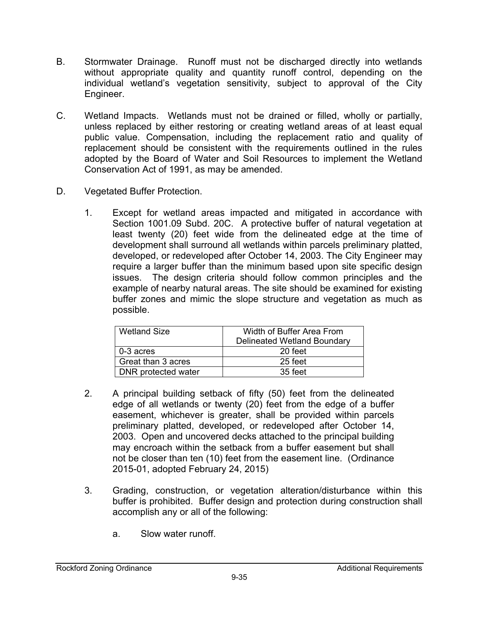- B. Stormwater Drainage. Runoff must not be discharged directly into wetlands without appropriate quality and quantity runoff control, depending on the individual wetland's vegetation sensitivity, subject to approval of the City Engineer.
- C. Wetland Impacts. Wetlands must not be drained or filled, wholly or partially, unless replaced by either restoring or creating wetland areas of at least equal public value. Compensation, including the replacement ratio and quality of replacement should be consistent with the requirements outlined in the rules adopted by the Board of Water and Soil Resources to implement the Wetland Conservation Act of 1991, as may be amended.
- D. Vegetated Buffer Protection.
	- 1. Except for wetland areas impacted and mitigated in accordance with Section 1001.09 Subd. 20C. A protective buffer of natural vegetation at least twenty (20) feet wide from the delineated edge at the time of development shall surround all wetlands within parcels preliminary platted, developed, or redeveloped after October 14, 2003. The City Engineer may require a larger buffer than the minimum based upon site specific design issues. The design criteria should follow common principles and the example of nearby natural areas. The site should be examined for existing buffer zones and mimic the slope structure and vegetation as much as possible.

| <b>Wetland Size</b> | Width of Buffer Area From<br><b>Delineated Wetland Boundary</b> |
|---------------------|-----------------------------------------------------------------|
| $0-3$ acres         | 20 feet                                                         |
| Great than 3 acres  | 25 feet                                                         |
| DNR protected water | 35 feet                                                         |

- 2. A principal building setback of fifty (50) feet from the delineated edge of all wetlands or twenty (20) feet from the edge of a buffer easement, whichever is greater, shall be provided within parcels preliminary platted, developed, or redeveloped after October 14, 2003. Open and uncovered decks attached to the principal building may encroach within the setback from a buffer easement but shall not be closer than ten (10) feet from the easement line. (Ordinance 2015-01, adopted February 24, 2015)
- 3. Grading, construction, or vegetation alteration/disturbance within this buffer is prohibited. Buffer design and protection during construction shall accomplish any or all of the following:
	- a. Slow water runoff.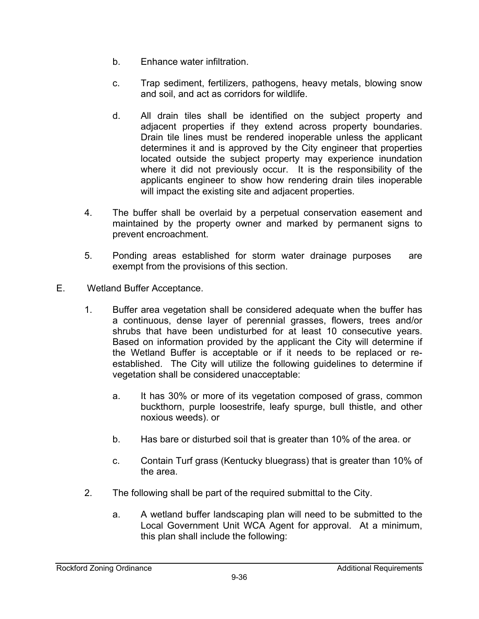- b. Enhance water infiltration.
- c. Trap sediment, fertilizers, pathogens, heavy metals, blowing snow and soil, and act as corridors for wildlife.
- d. All drain tiles shall be identified on the subject property and adjacent properties if they extend across property boundaries. Drain tile lines must be rendered inoperable unless the applicant determines it and is approved by the City engineer that properties located outside the subject property may experience inundation where it did not previously occur. It is the responsibility of the applicants engineer to show how rendering drain tiles inoperable will impact the existing site and adjacent properties.
- 4. The buffer shall be overlaid by a perpetual conservation easement and maintained by the property owner and marked by permanent signs to prevent encroachment.
- 5. Ponding areas established for storm water drainage purposes are exempt from the provisions of this section.
- E. Wetland Buffer Acceptance.
	- 1. Buffer area vegetation shall be considered adequate when the buffer has a continuous, dense layer of perennial grasses, flowers, trees and/or shrubs that have been undisturbed for at least 10 consecutive years. Based on information provided by the applicant the City will determine if the Wetland Buffer is acceptable or if it needs to be replaced or reestablished. The City will utilize the following guidelines to determine if vegetation shall be considered unacceptable:
		- a. It has 30% or more of its vegetation composed of grass, common buckthorn, purple loosestrife, leafy spurge, bull thistle, and other noxious weeds). or
		- b. Has bare or disturbed soil that is greater than 10% of the area. or
		- c. Contain Turf grass (Kentucky bluegrass) that is greater than 10% of the area.
	- 2. The following shall be part of the required submittal to the City.
		- a. A wetland buffer landscaping plan will need to be submitted to the Local Government Unit WCA Agent for approval. At a minimum, this plan shall include the following: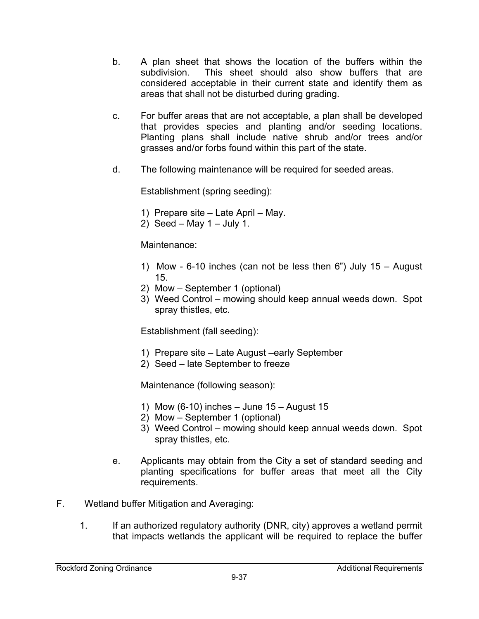- b. A plan sheet that shows the location of the buffers within the subdivision. This sheet should also show buffers that are considered acceptable in their current state and identify them as areas that shall not be disturbed during grading.
- c. For buffer areas that are not acceptable, a plan shall be developed that provides species and planting and/or seeding locations. Planting plans shall include native shrub and/or trees and/or grasses and/or forbs found within this part of the state.
- d. The following maintenance will be required for seeded areas.

Establishment (spring seeding):

- 1) Prepare site Late April May.
- 2) Seed May  $1$  July 1.

Maintenance:

- 1) Mow 6-10 inches (can not be less then 6") July 15 August 15.
- 2) Mow September 1 (optional)
- 3) Weed Control mowing should keep annual weeds down. Spot spray thistles, etc.

Establishment (fall seeding):

- 1) Prepare site Late August –early September
- 2) Seed late September to freeze

Maintenance (following season):

- 1) Mow (6-10) inches June 15 August 15
- 2) Mow September 1 (optional)
- 3) Weed Control mowing should keep annual weeds down. Spot spray thistles, etc.
- e. Applicants may obtain from the City a set of standard seeding and planting specifications for buffer areas that meet all the City requirements.
- F. Wetland buffer Mitigation and Averaging:
	- 1. If an authorized regulatory authority (DNR, city) approves a wetland permit that impacts wetlands the applicant will be required to replace the buffer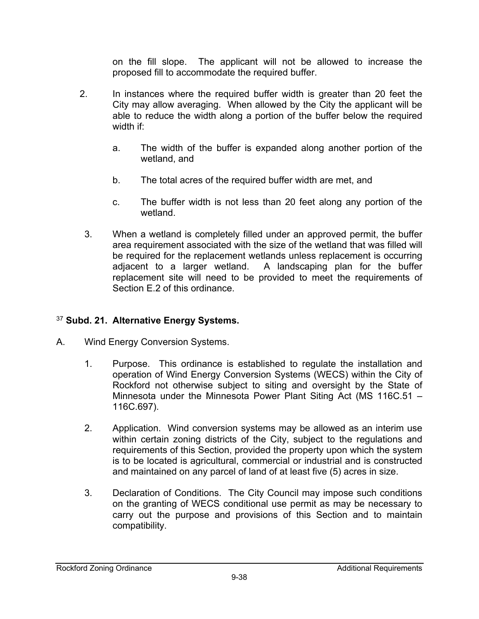on the fill slope. The applicant will not be allowed to increase the proposed fill to accommodate the required buffer.

- 2. In instances where the required buffer width is greater than 20 feet the City may allow averaging. When allowed by the City the applicant will be able to reduce the width along a portion of the buffer below the required width if:
	- a. The width of the buffer is expanded along another portion of the wetland, and
	- b. The total acres of the required buffer width are met, and
	- c. The buffer width is not less than 20 feet along any portion of the wetland.
- 3. When a wetland is completely filled under an approved permit, the buffer area requirement associated with the size of the wetland that was filled will be required for the replacement wetlands unless replacement is occurring adjacent to a larger wetland. A landscaping plan for the buffer replacement site will need to be provided to meet the requirements of Section E.2 of this ordinance.

### <sup>37</sup> **Subd. 21. Alternative Energy Systems.**

- A. Wind Energy Conversion Systems.
	- 1. Purpose. This ordinance is established to regulate the installation and operation of Wind Energy Conversion Systems (WECS) within the City of Rockford not otherwise subject to siting and oversight by the State of Minnesota under the Minnesota Power Plant Siting Act (MS 116C.51 – 116C.697).
	- 2. Application. Wind conversion systems may be allowed as an interim use within certain zoning districts of the City, subject to the regulations and requirements of this Section, provided the property upon which the system is to be located is agricultural, commercial or industrial and is constructed and maintained on any parcel of land of at least five (5) acres in size.
	- 3. Declaration of Conditions. The City Council may impose such conditions on the granting of WECS conditional use permit as may be necessary to carry out the purpose and provisions of this Section and to maintain compatibility.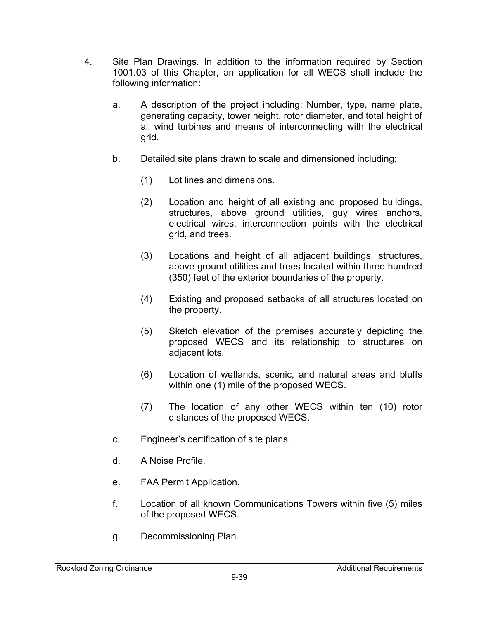- 4. Site Plan Drawings. In addition to the information required by Section 1001.03 of this Chapter, an application for all WECS shall include the following information:
	- a. A description of the project including: Number, type, name plate, generating capacity, tower height, rotor diameter, and total height of all wind turbines and means of interconnecting with the electrical grid.
	- b. Detailed site plans drawn to scale and dimensioned including:
		- (1) Lot lines and dimensions.
		- (2) Location and height of all existing and proposed buildings, structures, above ground utilities, guy wires anchors, electrical wires, interconnection points with the electrical grid, and trees.
		- (3) Locations and height of all adjacent buildings, structures, above ground utilities and trees located within three hundred (350) feet of the exterior boundaries of the property.
		- (4) Existing and proposed setbacks of all structures located on the property.
		- (5) Sketch elevation of the premises accurately depicting the proposed WECS and its relationship to structures on adjacent lots.
		- (6) Location of wetlands, scenic, and natural areas and bluffs within one (1) mile of the proposed WECS.
		- (7) The location of any other WECS within ten (10) rotor distances of the proposed WECS.
	- c. Engineer's certification of site plans.
	- d. A Noise Profile.
	- e. FAA Permit Application.
	- f. Location of all known Communications Towers within five (5) miles of the proposed WECS.
	- g. Decommissioning Plan.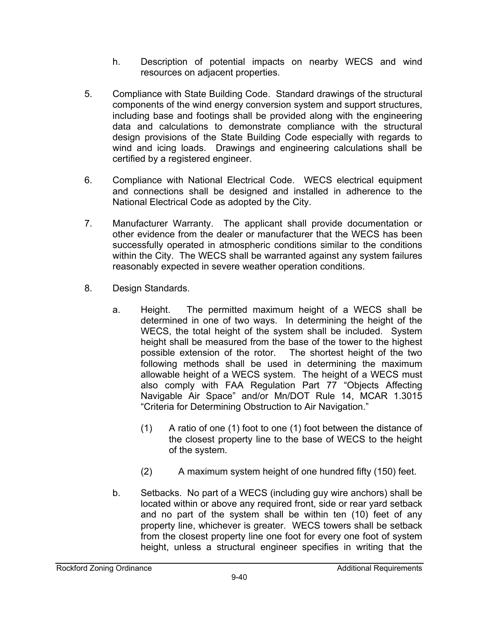- h. Description of potential impacts on nearby WECS and wind resources on adjacent properties.
- 5. Compliance with State Building Code. Standard drawings of the structural components of the wind energy conversion system and support structures, including base and footings shall be provided along with the engineering data and calculations to demonstrate compliance with the structural design provisions of the State Building Code especially with regards to wind and icing loads. Drawings and engineering calculations shall be certified by a registered engineer.
- 6. Compliance with National Electrical Code. WECS electrical equipment and connections shall be designed and installed in adherence to the National Electrical Code as adopted by the City.
- 7. Manufacturer Warranty. The applicant shall provide documentation or other evidence from the dealer or manufacturer that the WECS has been successfully operated in atmospheric conditions similar to the conditions within the City. The WECS shall be warranted against any system failures reasonably expected in severe weather operation conditions.
- 8. Design Standards.
	- a. Height. The permitted maximum height of a WECS shall be determined in one of two ways. In determining the height of the WECS, the total height of the system shall be included. System height shall be measured from the base of the tower to the highest possible extension of the rotor. The shortest height of the two following methods shall be used in determining the maximum allowable height of a WECS system. The height of a WECS must also comply with FAA Regulation Part 77 "Objects Affecting Navigable Air Space" and/or Mn/DOT Rule 14, MCAR 1.3015 "Criteria for Determining Obstruction to Air Navigation."
		- (1) A ratio of one (1) foot to one (1) foot between the distance of the closest property line to the base of WECS to the height of the system.
		- (2) A maximum system height of one hundred fifty (150) feet.
	- b. Setbacks. No part of a WECS (including guy wire anchors) shall be located within or above any required front, side or rear yard setback and no part of the system shall be within ten (10) feet of any property line, whichever is greater. WECS towers shall be setback from the closest property line one foot for every one foot of system height, unless a structural engineer specifies in writing that the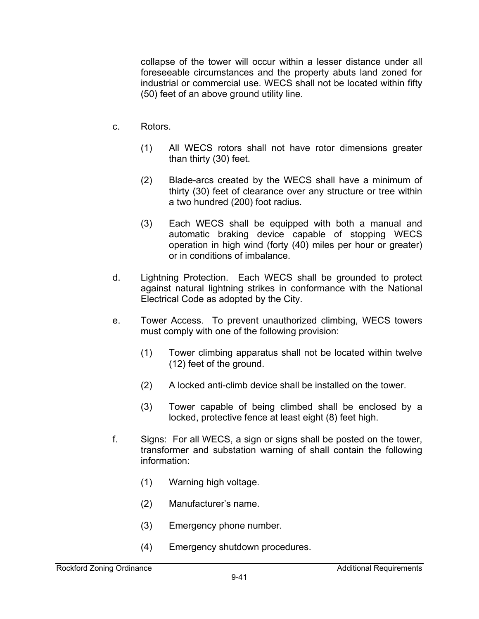collapse of the tower will occur within a lesser distance under all foreseeable circumstances and the property abuts land zoned for industrial or commercial use. WECS shall not be located within fifty (50) feet of an above ground utility line.

- c. Rotors.
	- (1) All WECS rotors shall not have rotor dimensions greater than thirty (30) feet.
	- (2) Blade-arcs created by the WECS shall have a minimum of thirty (30) feet of clearance over any structure or tree within a two hundred (200) foot radius.
	- (3) Each WECS shall be equipped with both a manual and automatic braking device capable of stopping WECS operation in high wind (forty (40) miles per hour or greater) or in conditions of imbalance.
- d. Lightning Protection. Each WECS shall be grounded to protect against natural lightning strikes in conformance with the National Electrical Code as adopted by the City.
- e. Tower Access. To prevent unauthorized climbing, WECS towers must comply with one of the following provision:
	- (1) Tower climbing apparatus shall not be located within twelve (12) feet of the ground.
	- (2) A locked anti-climb device shall be installed on the tower.
	- (3) Tower capable of being climbed shall be enclosed by a locked, protective fence at least eight (8) feet high.
- f. Signs: For all WECS, a sign or signs shall be posted on the tower, transformer and substation warning of shall contain the following information:
	- (1) Warning high voltage.
	- (2) Manufacturer's name.
	- (3) Emergency phone number.
	- (4) Emergency shutdown procedures.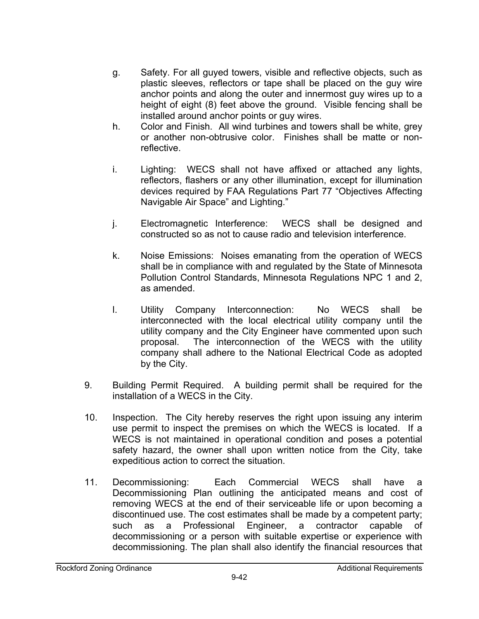- g. Safety. For all guyed towers, visible and reflective objects, such as plastic sleeves, reflectors or tape shall be placed on the guy wire anchor points and along the outer and innermost guy wires up to a height of eight (8) feet above the ground. Visible fencing shall be installed around anchor points or guy wires.
- h. Color and Finish. All wind turbines and towers shall be white, grey or another non-obtrusive color. Finishes shall be matte or nonreflective.
- i. Lighting: WECS shall not have affixed or attached any lights, reflectors, flashers or any other illumination, except for illumination devices required by FAA Regulations Part 77 "Objectives Affecting Navigable Air Space" and Lighting."
- j. Electromagnetic Interference: WECS shall be designed and constructed so as not to cause radio and television interference.
- k. Noise Emissions: Noises emanating from the operation of WECS shall be in compliance with and regulated by the State of Minnesota Pollution Control Standards, Minnesota Regulations NPC 1 and 2, as amended.
- l. Utility Company Interconnection: No WECS shall be interconnected with the local electrical utility company until the utility company and the City Engineer have commented upon such proposal. The interconnection of the WECS with the utility company shall adhere to the National Electrical Code as adopted by the City.
- 9. Building Permit Required. A building permit shall be required for the installation of a WECS in the City.
- 10. Inspection. The City hereby reserves the right upon issuing any interim use permit to inspect the premises on which the WECS is located. If a WECS is not maintained in operational condition and poses a potential safety hazard, the owner shall upon written notice from the City, take expeditious action to correct the situation.
- 11. Decommissioning: Each Commercial WECS shall have a Decommissioning Plan outlining the anticipated means and cost of removing WECS at the end of their serviceable life or upon becoming a discontinued use. The cost estimates shall be made by a competent party; such as a Professional Engineer, a contractor capable of decommissioning or a person with suitable expertise or experience with decommissioning. The plan shall also identify the financial resources that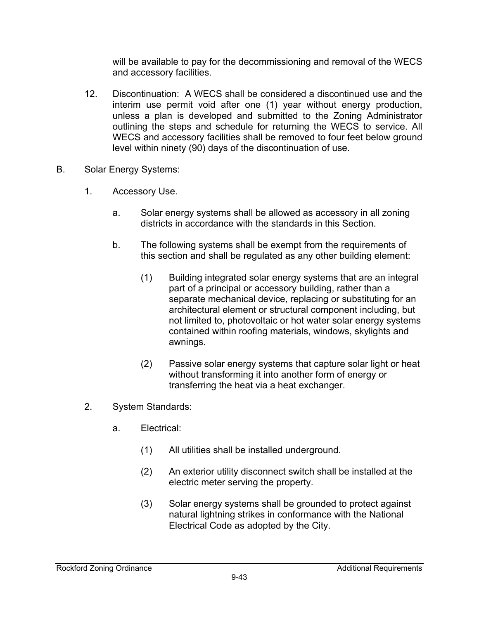will be available to pay for the decommissioning and removal of the WECS and accessory facilities.

- 12. Discontinuation: A WECS shall be considered a discontinued use and the interim use permit void after one (1) year without energy production, unless a plan is developed and submitted to the Zoning Administrator outlining the steps and schedule for returning the WECS to service. All WECS and accessory facilities shall be removed to four feet below ground level within ninety (90) days of the discontinuation of use.
- B. Solar Energy Systems:
	- 1. Accessory Use.
		- a. Solar energy systems shall be allowed as accessory in all zoning districts in accordance with the standards in this Section.
		- b. The following systems shall be exempt from the requirements of this section and shall be regulated as any other building element:
			- (1) Building integrated solar energy systems that are an integral part of a principal or accessory building, rather than a separate mechanical device, replacing or substituting for an architectural element or structural component including, but not limited to, photovoltaic or hot water solar energy systems contained within roofing materials, windows, skylights and awnings.
			- (2) Passive solar energy systems that capture solar light or heat without transforming it into another form of energy or transferring the heat via a heat exchanger.
	- 2. System Standards:
		- a. Electrical:
			- (1) All utilities shall be installed underground.
			- (2) An exterior utility disconnect switch shall be installed at the electric meter serving the property.
			- (3) Solar energy systems shall be grounded to protect against natural lightning strikes in conformance with the National Electrical Code as adopted by the City.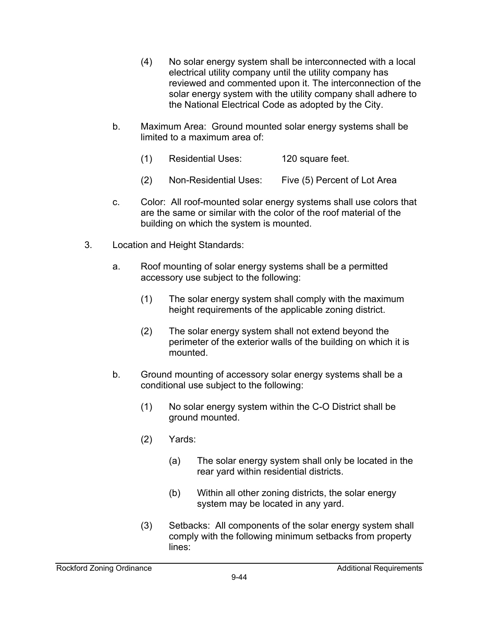- (4) No solar energy system shall be interconnected with a local electrical utility company until the utility company has reviewed and commented upon it. The interconnection of the solar energy system with the utility company shall adhere to the National Electrical Code as adopted by the City.
- b. Maximum Area: Ground mounted solar energy systems shall be limited to a maximum area of:
	- (1) Residential Uses: 120 square feet.
	- (2) Non-Residential Uses: Five (5) Percent of Lot Area
- c. Color: All roof-mounted solar energy systems shall use colors that are the same or similar with the color of the roof material of the building on which the system is mounted.
- 3. Location and Height Standards:
	- a. Roof mounting of solar energy systems shall be a permitted accessory use subject to the following:
		- (1) The solar energy system shall comply with the maximum height requirements of the applicable zoning district.
		- (2) The solar energy system shall not extend beyond the perimeter of the exterior walls of the building on which it is mounted.
	- b. Ground mounting of accessory solar energy systems shall be a conditional use subject to the following:
		- (1) No solar energy system within the C-O District shall be ground mounted.
		- (2) Yards:
			- (a) The solar energy system shall only be located in the rear yard within residential districts.
			- (b) Within all other zoning districts, the solar energy system may be located in any yard.
		- (3) Setbacks: All components of the solar energy system shall comply with the following minimum setbacks from property lines: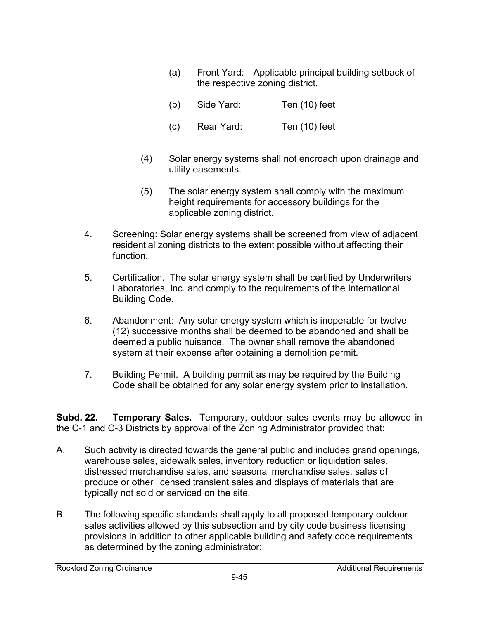- (a) Front Yard: Applicable principal building setback of the respective zoning district.
- (b) Side Yard: Ten (10) feet
- (c) Rear Yard: Ten (10) feet
- (4) Solar energy systems shall not encroach upon drainage and utility easements.
- (5) The solar energy system shall comply with the maximum height requirements for accessory buildings for the applicable zoning district.
- 4. Screening: Solar energy systems shall be screened from view of adjacent residential zoning districts to the extent possible without affecting their function.
- 5. Certification. The solar energy system shall be certified by Underwriters Laboratories, Inc. and comply to the requirements of the International Building Code.
- 6. Abandonment: Any solar energy system which is inoperable for twelve (12) successive months shall be deemed to be abandoned and shall be deemed a public nuisance. The owner shall remove the abandoned system at their expense after obtaining a demolition permit.
- 7. Building Permit. A building permit as may be required by the Building Code shall be obtained for any solar energy system prior to installation.

**Subd. 22. Temporary Sales.** Temporary, outdoor sales events may be allowed in the C-1 and C-3 Districts by approval of the Zoning Administrator provided that:

- A. Such activity is directed towards the general public and includes grand openings, warehouse sales, sidewalk sales, inventory reduction or liquidation sales, distressed merchandise sales, and seasonal merchandise sales, sales of produce or other licensed transient sales and displays of materials that are typically not sold or serviced on the site.
- B. The following specific standards shall apply to all proposed temporary outdoor sales activities allowed by this subsection and by city code business licensing provisions in addition to other applicable building and safety code requirements as determined by the zoning administrator: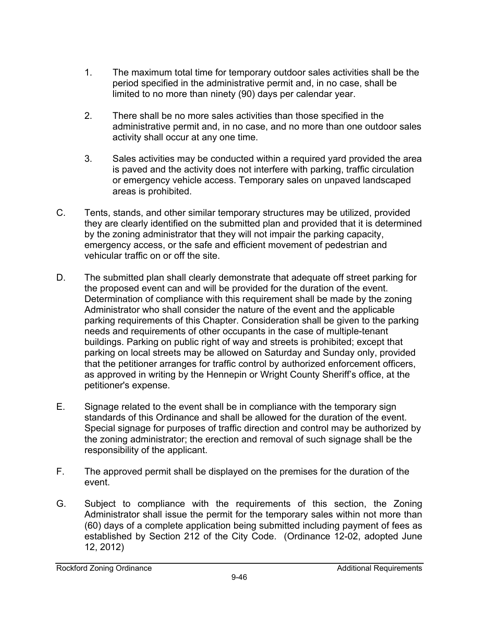- 1. The maximum total time for temporary outdoor sales activities shall be the period specified in the administrative permit and, in no case, shall be limited to no more than ninety (90) days per calendar year.
- 2. There shall be no more sales activities than those specified in the administrative permit and, in no case, and no more than one outdoor sales activity shall occur at any one time.
- 3. Sales activities may be conducted within a required yard provided the area is paved and the activity does not interfere with parking, traffic circulation or emergency vehicle access. Temporary sales on unpaved landscaped areas is prohibited.
- C. Tents, stands, and other similar temporary structures may be utilized, provided they are clearly identified on the submitted plan and provided that it is determined by the zoning administrator that they will not impair the parking capacity, emergency access, or the safe and efficient movement of pedestrian and vehicular traffic on or off the site.
- D. The submitted plan shall clearly demonstrate that adequate off street parking for the proposed event can and will be provided for the duration of the event. Determination of compliance with this requirement shall be made by the zoning Administrator who shall consider the nature of the event and the applicable parking requirements of this Chapter. Consideration shall be given to the parking needs and requirements of other occupants in the case of multiple-tenant buildings. Parking on public right of way and streets is prohibited; except that parking on local streets may be allowed on Saturday and Sunday only, provided that the petitioner arranges for traffic control by authorized enforcement officers, as approved in writing by the Hennepin or Wright County Sheriff's office, at the petitioner's expense.
- E. Signage related to the event shall be in compliance with the temporary sign standards of this Ordinance and shall be allowed for the duration of the event. Special signage for purposes of traffic direction and control may be authorized by the zoning administrator; the erection and removal of such signage shall be the responsibility of the applicant.
- F. The approved permit shall be displayed on the premises for the duration of the event.
- G. Subject to compliance with the requirements of this section, the Zoning Administrator shall issue the permit for the temporary sales within not more than (60) days of a complete application being submitted including payment of fees as established by Section 212 of the City Code. (Ordinance 12-02, adopted June 12, 2012)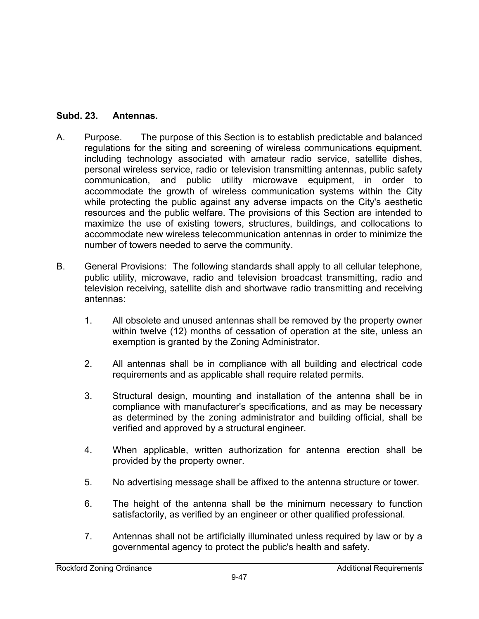# **Subd. 23. Antennas.**

- A. Purpose. The purpose of this Section is to establish predictable and balanced regulations for the siting and screening of wireless communications equipment, including technology associated with amateur radio service, satellite dishes, personal wireless service, radio or television transmitting antennas, public safety communication, and public utility microwave equipment, in order to accommodate the growth of wireless communication systems within the City while protecting the public against any adverse impacts on the City's aesthetic resources and the public welfare. The provisions of this Section are intended to maximize the use of existing towers, structures, buildings, and collocations to accommodate new wireless telecommunication antennas in order to minimize the number of towers needed to serve the community.
- B. General Provisions: The following standards shall apply to all cellular telephone, public utility, microwave, radio and television broadcast transmitting, radio and television receiving, satellite dish and shortwave radio transmitting and receiving antennas:
	- 1. All obsolete and unused antennas shall be removed by the property owner within twelve (12) months of cessation of operation at the site, unless an exemption is granted by the Zoning Administrator.
	- 2. All antennas shall be in compliance with all building and electrical code requirements and as applicable shall require related permits.
	- 3. Structural design, mounting and installation of the antenna shall be in compliance with manufacturer's specifications, and as may be necessary as determined by the zoning administrator and building official, shall be verified and approved by a structural engineer.
	- 4. When applicable, written authorization for antenna erection shall be provided by the property owner.
	- 5. No advertising message shall be affixed to the antenna structure or tower.
	- 6. The height of the antenna shall be the minimum necessary to function satisfactorily, as verified by an engineer or other qualified professional.
	- 7. Antennas shall not be artificially illuminated unless required by law or by a governmental agency to protect the public's health and safety.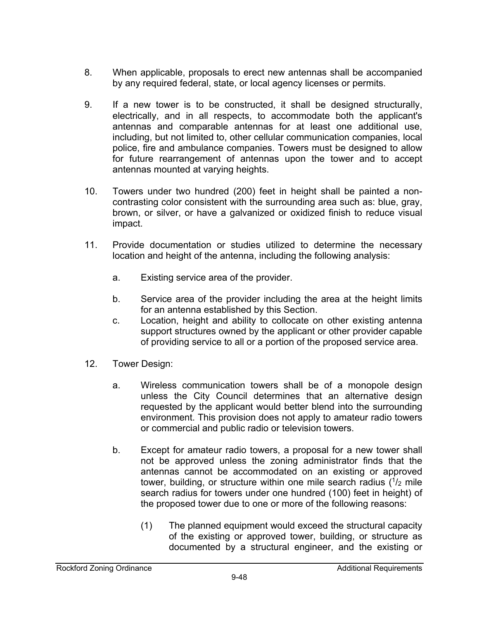- 8. When applicable, proposals to erect new antennas shall be accompanied by any required federal, state, or local agency licenses or permits.
- 9. If a new tower is to be constructed, it shall be designed structurally, electrically, and in all respects, to accommodate both the applicant's antennas and comparable antennas for at least one additional use, including, but not limited to, other cellular communication companies, local police, fire and ambulance companies. Towers must be designed to allow for future rearrangement of antennas upon the tower and to accept antennas mounted at varying heights.
- 10. Towers under two hundred (200) feet in height shall be painted a noncontrasting color consistent with the surrounding area such as: blue, gray, brown, or silver, or have a galvanized or oxidized finish to reduce visual impact.
- 11. Provide documentation or studies utilized to determine the necessary location and height of the antenna, including the following analysis:
	- a. Existing service area of the provider.
	- b. Service area of the provider including the area at the height limits for an antenna established by this Section.
	- c. Location, height and ability to collocate on other existing antenna support structures owned by the applicant or other provider capable of providing service to all or a portion of the proposed service area.
- 12. Tower Design:
	- a. Wireless communication towers shall be of a monopole design unless the City Council determines that an alternative design requested by the applicant would better blend into the surrounding environment. This provision does not apply to amateur radio towers or commercial and public radio or television towers.
	- b. Except for amateur radio towers, a proposal for a new tower shall not be approved unless the zoning administrator finds that the antennas cannot be accommodated on an existing or approved tower, building, or structure within one mile search radius  $(1/2)$  mile search radius for towers under one hundred (100) feet in height) of the proposed tower due to one or more of the following reasons:
		- (1) The planned equipment would exceed the structural capacity of the existing or approved tower, building, or structure as documented by a structural engineer, and the existing or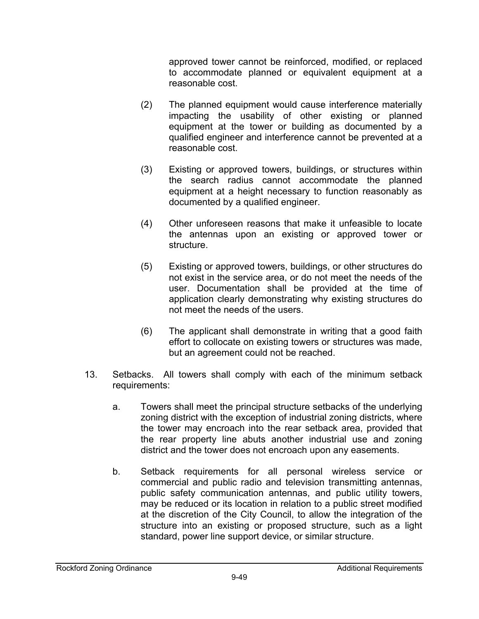approved tower cannot be reinforced, modified, or replaced to accommodate planned or equivalent equipment at a reasonable cost.

- (2) The planned equipment would cause interference materially impacting the usability of other existing or planned equipment at the tower or building as documented by a qualified engineer and interference cannot be prevented at a reasonable cost.
- (3) Existing or approved towers, buildings, or structures within the search radius cannot accommodate the planned equipment at a height necessary to function reasonably as documented by a qualified engineer.
- (4) Other unforeseen reasons that make it unfeasible to locate the antennas upon an existing or approved tower or structure.
- (5) Existing or approved towers, buildings, or other structures do not exist in the service area, or do not meet the needs of the user. Documentation shall be provided at the time of application clearly demonstrating why existing structures do not meet the needs of the users.
- (6) The applicant shall demonstrate in writing that a good faith effort to collocate on existing towers or structures was made, but an agreement could not be reached.
- 13. Setbacks. All towers shall comply with each of the minimum setback requirements:
	- a. Towers shall meet the principal structure setbacks of the underlying zoning district with the exception of industrial zoning districts, where the tower may encroach into the rear setback area, provided that the rear property line abuts another industrial use and zoning district and the tower does not encroach upon any easements.
	- b. Setback requirements for all personal wireless service or commercial and public radio and television transmitting antennas, public safety communication antennas, and public utility towers, may be reduced or its location in relation to a public street modified at the discretion of the City Council, to allow the integration of the structure into an existing or proposed structure, such as a light standard, power line support device, or similar structure.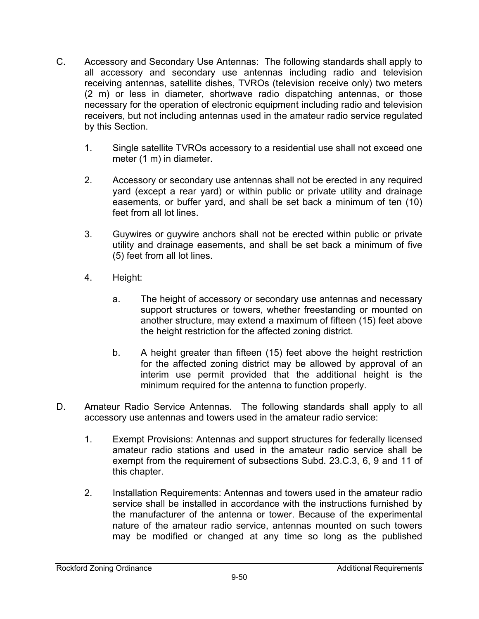- C. Accessory and Secondary Use Antennas: The following standards shall apply to all accessory and secondary use antennas including radio and television receiving antennas, satellite dishes, TVROs (television receive only) two meters (2 m) or less in diameter, shortwave radio dispatching antennas, or those necessary for the operation of electronic equipment including radio and television receivers, but not including antennas used in the amateur radio service regulated by this Section.
	- 1. Single satellite TVROs accessory to a residential use shall not exceed one meter (1 m) in diameter.
	- 2. Accessory or secondary use antennas shall not be erected in any required yard (except a rear yard) or within public or private utility and drainage easements, or buffer yard, and shall be set back a minimum of ten (10) feet from all lot lines.
	- 3. Guywires or guywire anchors shall not be erected within public or private utility and drainage easements, and shall be set back a minimum of five (5) feet from all lot lines.
	- 4. Height:
		- a. The height of accessory or secondary use antennas and necessary support structures or towers, whether freestanding or mounted on another structure, may extend a maximum of fifteen (15) feet above the height restriction for the affected zoning district.
		- b. A height greater than fifteen (15) feet above the height restriction for the affected zoning district may be allowed by approval of an interim use permit provided that the additional height is the minimum required for the antenna to function properly.
- D. Amateur Radio Service Antennas. The following standards shall apply to all accessory use antennas and towers used in the amateur radio service:
	- 1. Exempt Provisions: Antennas and support structures for federally licensed amateur radio stations and used in the amateur radio service shall be exempt from the requirement of subsections Subd. 23.C.3, 6, 9 and 11 of this chapter.
	- 2. Installation Requirements: Antennas and towers used in the amateur radio service shall be installed in accordance with the instructions furnished by the manufacturer of the antenna or tower. Because of the experimental nature of the amateur radio service, antennas mounted on such towers may be modified or changed at any time so long as the published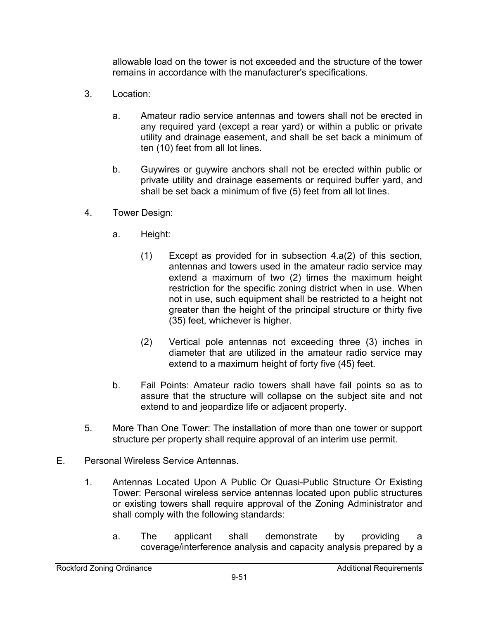allowable load on the tower is not exceeded and the structure of the tower remains in accordance with the manufacturer's specifications.

- 3. Location:
	- a. Amateur radio service antennas and towers shall not be erected in any required yard (except a rear yard) or within a public or private utility and drainage easement, and shall be set back a minimum of ten (10) feet from all lot lines.
	- b. Guywires or guywire anchors shall not be erected within public or private utility and drainage easements or required buffer yard, and shall be set back a minimum of five (5) feet from all lot lines.
- 4. Tower Design:
	- a. Height:
		- (1) Except as provided for in subsection 4.a(2) of this section, antennas and towers used in the amateur radio service may extend a maximum of two (2) times the maximum height restriction for the specific zoning district when in use. When not in use, such equipment shall be restricted to a height not greater than the height of the principal structure or thirty five (35) feet, whichever is higher.
		- (2) Vertical pole antennas not exceeding three (3) inches in diameter that are utilized in the amateur radio service may extend to a maximum height of forty five (45) feet.
	- b. Fail Points: Amateur radio towers shall have fail points so as to assure that the structure will collapse on the subject site and not extend to and jeopardize life or adjacent property.
- 5. More Than One Tower: The installation of more than one tower or support structure per property shall require approval of an interim use permit.
- E. Personal Wireless Service Antennas.
	- 1. Antennas Located Upon A Public Or Quasi-Public Structure Or Existing Tower: Personal wireless service antennas located upon public structures or existing towers shall require approval of the Zoning Administrator and shall comply with the following standards:
		- a. The applicant shall demonstrate by providing a coverage/interference analysis and capacity analysis prepared by a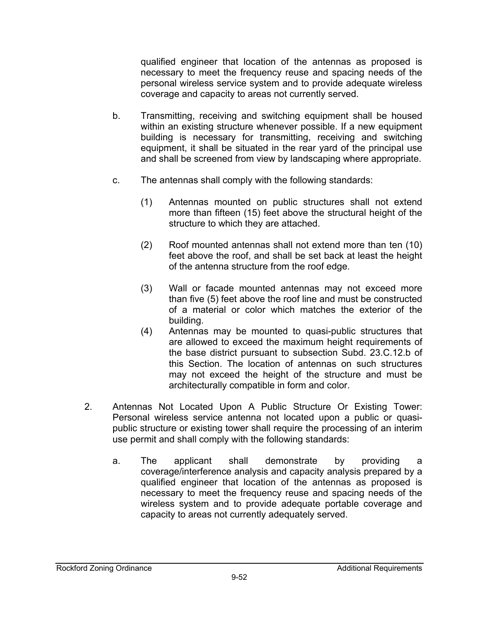qualified engineer that location of the antennas as proposed is necessary to meet the frequency reuse and spacing needs of the personal wireless service system and to provide adequate wireless coverage and capacity to areas not currently served.

- b. Transmitting, receiving and switching equipment shall be housed within an existing structure whenever possible. If a new equipment building is necessary for transmitting, receiving and switching equipment, it shall be situated in the rear yard of the principal use and shall be screened from view by landscaping where appropriate.
- c. The antennas shall comply with the following standards:
	- (1) Antennas mounted on public structures shall not extend more than fifteen (15) feet above the structural height of the structure to which they are attached.
	- (2) Roof mounted antennas shall not extend more than ten (10) feet above the roof, and shall be set back at least the height of the antenna structure from the roof edge.
	- (3) Wall or facade mounted antennas may not exceed more than five (5) feet above the roof line and must be constructed of a material or color which matches the exterior of the building.
	- (4) Antennas may be mounted to quasi-public structures that are allowed to exceed the maximum height requirements of the base district pursuant to subsection Subd. 23.C.12.b of this Section. The location of antennas on such structures may not exceed the height of the structure and must be architecturally compatible in form and color.
- 2. Antennas Not Located Upon A Public Structure Or Existing Tower: Personal wireless service antenna not located upon a public or quasipublic structure or existing tower shall require the processing of an interim use permit and shall comply with the following standards:
	- a. The applicant shall demonstrate by providing a coverage/interference analysis and capacity analysis prepared by a qualified engineer that location of the antennas as proposed is necessary to meet the frequency reuse and spacing needs of the wireless system and to provide adequate portable coverage and capacity to areas not currently adequately served.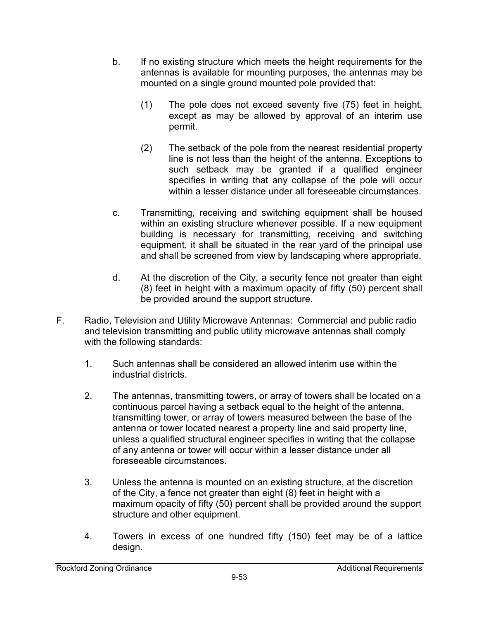- b. If no existing structure which meets the height requirements for the antennas is available for mounting purposes, the antennas may be mounted on a single ground mounted pole provided that:
	- (1) The pole does not exceed seventy five (75) feet in height, except as may be allowed by approval of an interim use permit.
	- (2) The setback of the pole from the nearest residential property line is not less than the height of the antenna. Exceptions to such setback may be granted if a qualified engineer specifies in writing that any collapse of the pole will occur within a lesser distance under all foreseeable circumstances.
- c. Transmitting, receiving and switching equipment shall be housed within an existing structure whenever possible. If a new equipment building is necessary for transmitting, receiving and switching equipment, it shall be situated in the rear yard of the principal use and shall be screened from view by landscaping where appropriate.
- d. At the discretion of the City, a security fence not greater than eight (8) feet in height with a maximum opacity of fifty (50) percent shall be provided around the support structure.
- F. Radio, Television and Utility Microwave Antennas: Commercial and public radio and television transmitting and public utility microwave antennas shall comply with the following standards:
	- 1. Such antennas shall be considered an allowed interim use within the industrial districts.
	- 2. The antennas, transmitting towers, or array of towers shall be located on a continuous parcel having a setback equal to the height of the antenna, transmitting tower, or array of towers measured between the base of the antenna or tower located nearest a property line and said property line, unless a qualified structural engineer specifies in writing that the collapse of any antenna or tower will occur within a lesser distance under all foreseeable circumstances.
	- 3. Unless the antenna is mounted on an existing structure, at the discretion of the City, a fence not greater than eight (8) feet in height with a maximum opacity of fifty (50) percent shall be provided around the support structure and other equipment.
	- 4. Towers in excess of one hundred fifty (150) feet may be of a lattice design.